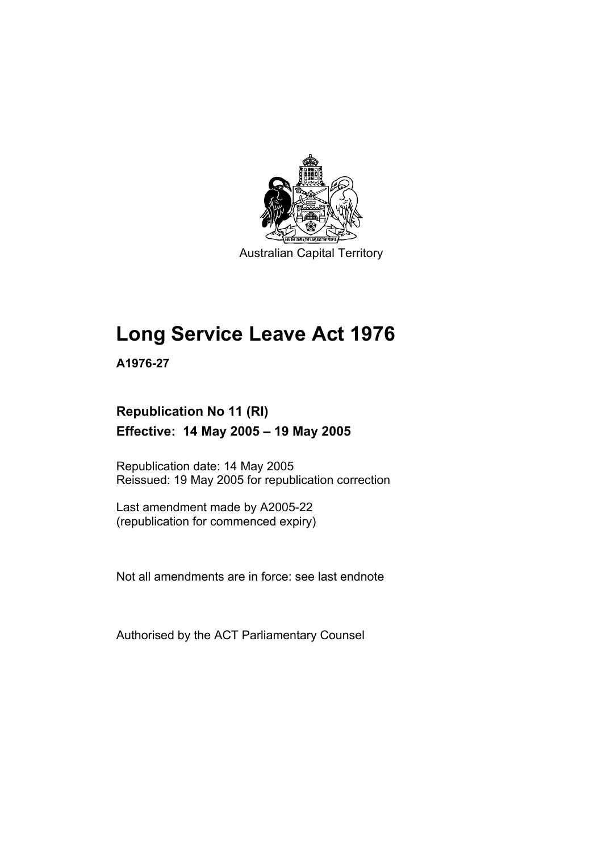

Australian Capital Territory

## **Long Service Leave Act 1976**

**A1976-27** 

## **Republication No 11 (RI) Effective: 14 May 2005 – 19 May 2005**

Republication date: 14 May 2005 Reissued: 19 May 2005 for republication correction

Last amendment made by A2005-22 (republication for commenced expiry)

Not all amendments are in force: see last endnote

Authorised by the ACT Parliamentary Counsel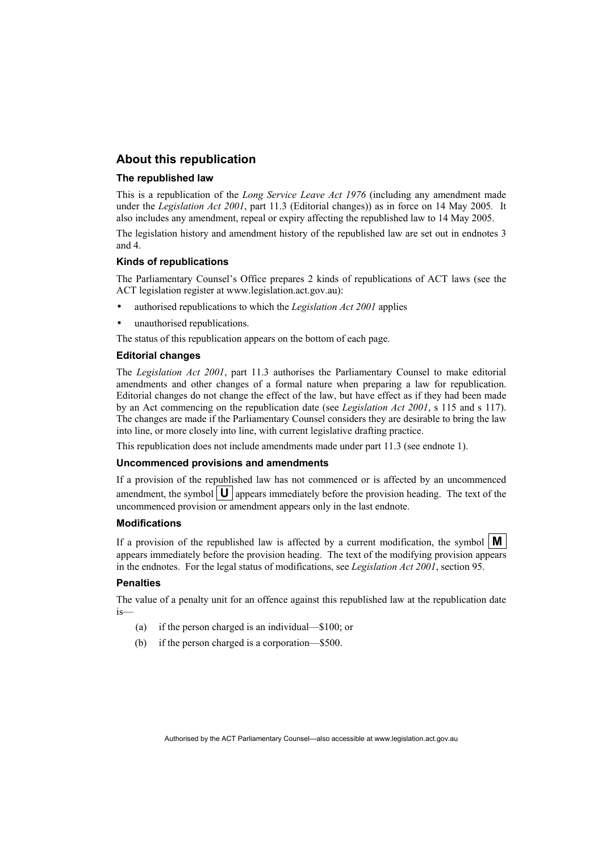## **About this republication**

#### **The republished law**

This is a republication of the *Long Service Leave Act 1976* (including any amendment made under the *Legislation Act 2001*, part 11.3 (Editorial changes)) as in force on 14 May 2005*.* It also includes any amendment, repeal or expiry affecting the republished law to 14 May 2005.

The legislation history and amendment history of the republished law are set out in endnotes 3 and 4.

#### **Kinds of republications**

The Parliamentary Counsel's Office prepares 2 kinds of republications of ACT laws (see the ACT legislation register at www.legislation.act.gov.au):

- authorised republications to which the *Legislation Act 2001* applies
- unauthorised republications.

The status of this republication appears on the bottom of each page.

#### **Editorial changes**

The *Legislation Act 2001*, part 11.3 authorises the Parliamentary Counsel to make editorial amendments and other changes of a formal nature when preparing a law for republication. Editorial changes do not change the effect of the law, but have effect as if they had been made by an Act commencing on the republication date (see *Legislation Act 2001*, s 115 and s 117). The changes are made if the Parliamentary Counsel considers they are desirable to bring the law into line, or more closely into line, with current legislative drafting practice.

This republication does not include amendments made under part 11.3 (see endnote 1).

#### **Uncommenced provisions and amendments**

If a provision of the republished law has not commenced or is affected by an uncommenced amendment, the symbol  $\mathbf{U}$  appears immediately before the provision heading. The text of the uncommenced provision or amendment appears only in the last endnote.

#### **Modifications**

If a provision of the republished law is affected by a current modification, the symbol  $\mathbf{M}$ appears immediately before the provision heading. The text of the modifying provision appears in the endnotes. For the legal status of modifications, see *Legislation Act 2001*, section 95.

#### **Penalties**

The value of a penalty unit for an offence against this republished law at the republication date is—

- (a) if the person charged is an individual—\$100; or
- (b) if the person charged is a corporation—\$500.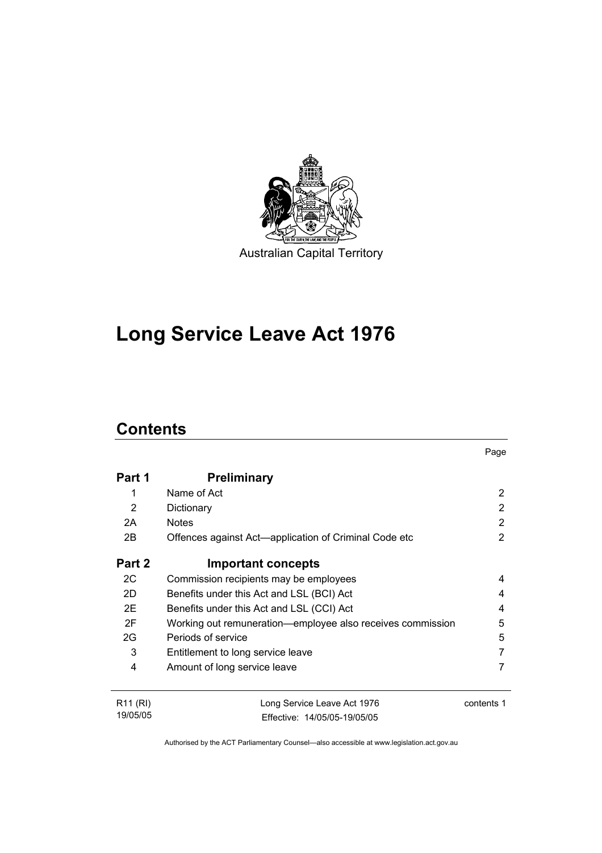

# **Long Service Leave Act 1976**

## **Contents**

|                      |                                                            | Page           |
|----------------------|------------------------------------------------------------|----------------|
| Part 1               | <b>Preliminary</b>                                         |                |
| 1                    | Name of Act                                                | 2              |
| 2                    | Dictionary                                                 | 2              |
| 2A                   | <b>Notes</b>                                               | $\overline{2}$ |
| 2B                   | Offences against Act—application of Criminal Code etc      | $\overline{2}$ |
| Part 2               | <b>Important concepts</b>                                  |                |
| 2C                   | Commission recipients may be employees                     | 4              |
| 2D                   | Benefits under this Act and LSL (BCI) Act                  | 4              |
| 2E                   | Benefits under this Act and LSL (CCI) Act                  | 4              |
| 2F                   | Working out remuneration—employee also receives commission | 5              |
| 2G                   | Periods of service                                         | 5              |
| 3                    | Entitlement to long service leave                          | 7              |
| $\overline{4}$       | Amount of long service leave                               | 7              |
| R <sub>11</sub> (RI) | Long Service Leave Act 1976                                | contents 1     |
| 19/05/05             | Fffective: 14/05/05-19/05/05                               |                |

Authorised by the ACT Parliamentary Counsel—also accessible at www.legislation.act.gov.au

Effective: 14/05/05-19/05/05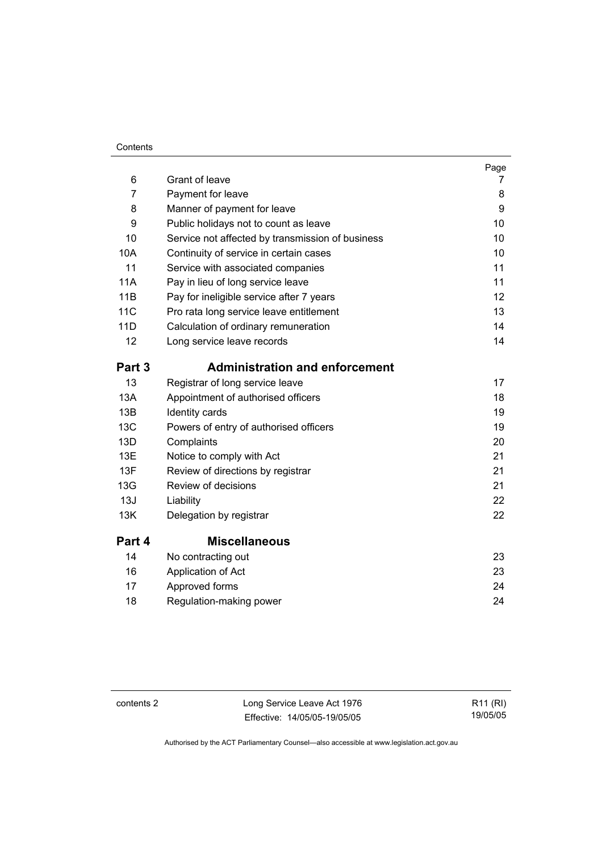#### **Contents**

| 6          | Grant of leave                                   | Page<br>7 |
|------------|--------------------------------------------------|-----------|
| 7          | Payment for leave                                | 8         |
| 8          | Manner of payment for leave                      | 9         |
| 9          | Public holidays not to count as leave            | 10        |
| 10         | Service not affected by transmission of business | 10        |
| 10A        | Continuity of service in certain cases           | 10        |
| 11         | Service with associated companies                | 11        |
| 11A        | Pay in lieu of long service leave                | 11        |
| 11B        | Pay for ineligible service after 7 years         | 12        |
| <b>11C</b> | Pro rata long service leave entitlement          | 13        |
| 11D        | Calculation of ordinary remuneration             | 14        |
| 12         | Long service leave records                       | 14        |
| Part 3     | <b>Administration and enforcement</b>            |           |
| 13         | Registrar of long service leave                  | 17        |
| 13A        | Appointment of authorised officers               | 18        |
| 13B        | Identity cards                                   | 19        |
| 13C        | Powers of entry of authorised officers           | 19        |
| 13D        | Complaints                                       | 20        |
| 13E        | Notice to comply with Act                        | 21        |
| 13F        | Review of directions by registrar                | 21        |
| 13G        | Review of decisions                              | 21        |
| 13J        | Liability                                        | 22        |
| 13K        | Delegation by registrar                          | 22        |
| Part 4     | <b>Miscellaneous</b>                             |           |
| 14         | No contracting out                               | 23        |
| 16         | Application of Act                               | 23        |
| 17         | Approved forms                                   | 24        |
| 18         | Regulation-making power                          | 24        |

contents 2 Long Service Leave Act 1976 Effective: 14/05/05-19/05/05

R11 (RI) 19/05/05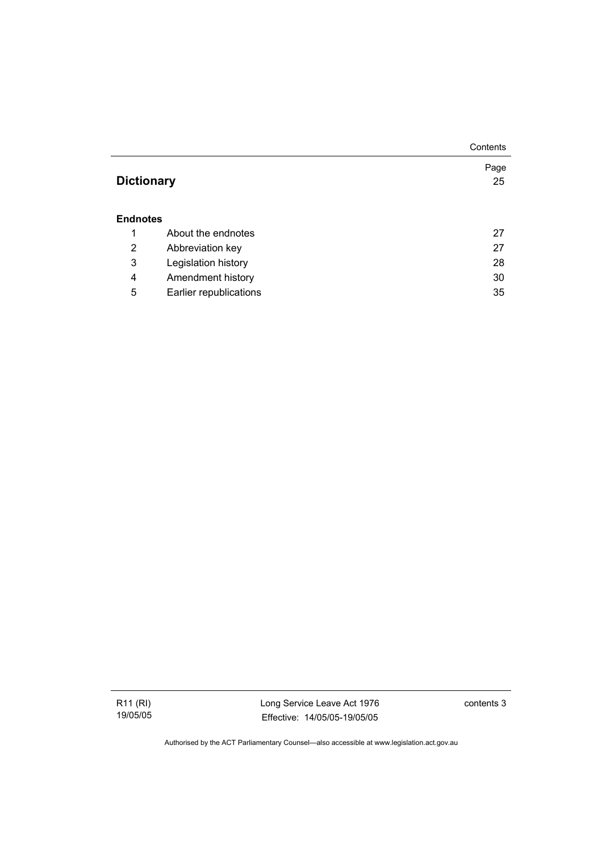|                   |                        | Contents   |
|-------------------|------------------------|------------|
| <b>Dictionary</b> |                        | Page<br>25 |
| <b>Endnotes</b>   |                        |            |
| 1                 | About the endnotes     | 27         |
| 2                 | Abbreviation key       | 27         |
| 3                 | Legislation history    | 28         |
| 4                 | Amendment history      | 30         |
| 5                 | Earlier republications | 35         |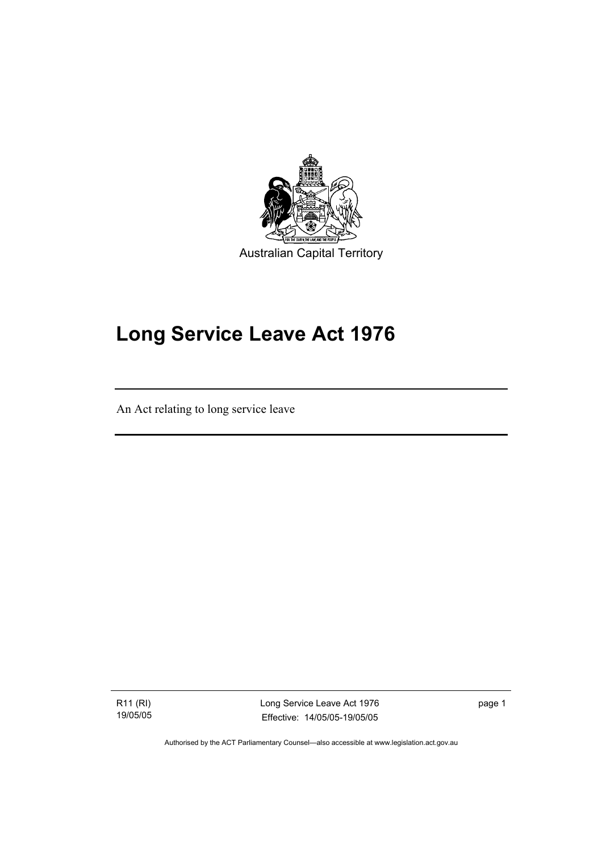

# **Long Service Leave Act 1976**

An Act relating to long service leave

R11 (RI) 19/05/05

I

Long Service Leave Act 1976 Effective: 14/05/05-19/05/05

page 1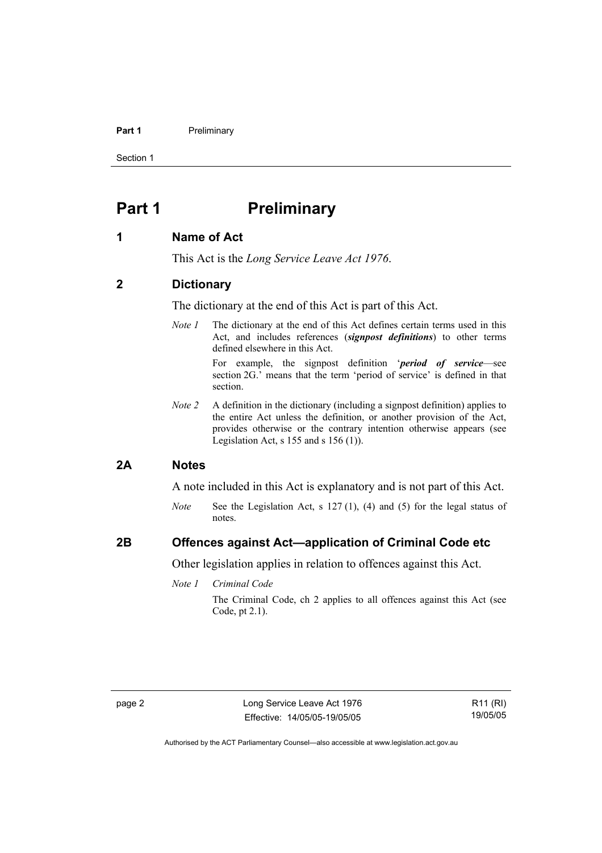#### **Part 1** Preliminary

Section 1

## **Part 1** Preliminary

## **1 Name of Act**

This Act is the *Long Service Leave Act 1976*.

## **2 Dictionary**

The dictionary at the end of this Act is part of this Act.

*Note 1* The dictionary at the end of this Act defines certain terms used in this Act, and includes references (*signpost definitions*) to other terms defined elsewhere in this Act.

> For example, the signpost definition '*period of service*—see section 2G.' means that the term 'period of service' is defined in that section.

*Note 2* A definition in the dictionary (including a signpost definition) applies to the entire Act unless the definition, or another provision of the Act, provides otherwise or the contrary intention otherwise appears (see Legislation Act, s  $155$  and s  $156$  (1)).

### **2A Notes**

A note included in this Act is explanatory and is not part of this Act.

*Note* See the Legislation Act, s 127 (1), (4) and (5) for the legal status of notes.

## **2B Offences against Act—application of Criminal Code etc**

Other legislation applies in relation to offences against this Act.

*Note 1 Criminal Code*

The Criminal Code, ch 2 applies to all offences against this Act (see Code, pt 2.1).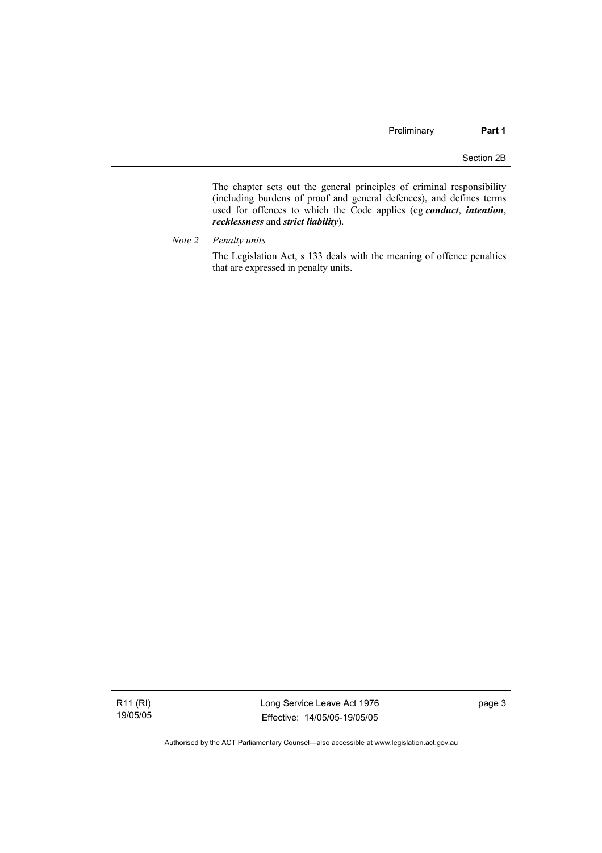The chapter sets out the general principles of criminal responsibility (including burdens of proof and general defences), and defines terms used for offences to which the Code applies (eg *conduct*, *intention*, *recklessness* and *strict liability*).

*Note 2 Penalty units* 

The Legislation Act, s 133 deals with the meaning of offence penalties that are expressed in penalty units.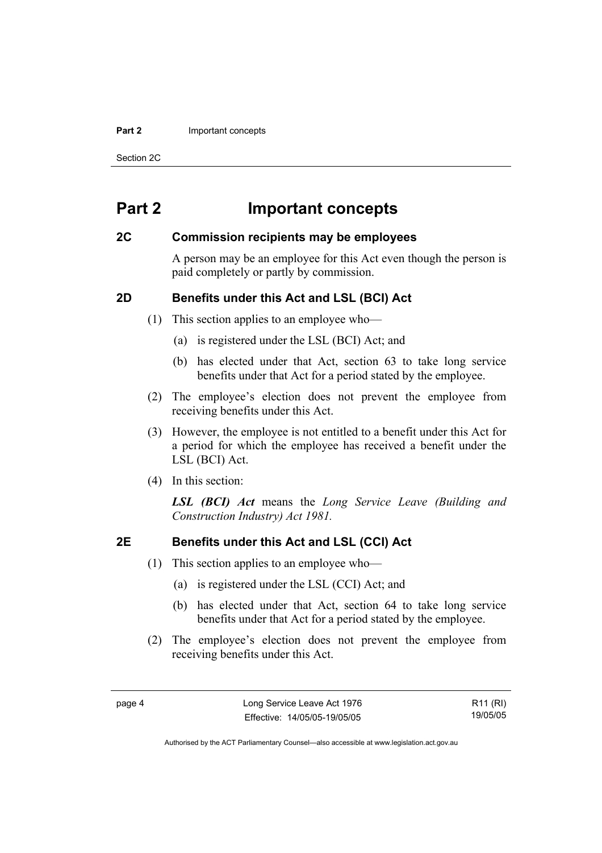#### **Part 2 Important concepts**

Section 2C

## **Part 2 Important concepts**

## **2C Commission recipients may be employees**

A person may be an employee for this Act even though the person is paid completely or partly by commission.

## **2D Benefits under this Act and LSL (BCI) Act**

- (1) This section applies to an employee who—
	- (a) is registered under the LSL (BCI) Act; and
	- (b) has elected under that Act, section 63 to take long service benefits under that Act for a period stated by the employee.
- (2) The employee's election does not prevent the employee from receiving benefits under this Act.
- (3) However, the employee is not entitled to a benefit under this Act for a period for which the employee has received a benefit under the LSL (BCI) Act.
- (4) In this section:

*LSL (BCI) Act* means the *Long Service Leave (Building and Construction Industry) Act 1981.*

## **2E Benefits under this Act and LSL (CCI) Act**

- (1) This section applies to an employee who—
	- (a) is registered under the LSL (CCI) Act; and
	- (b) has elected under that Act, section 64 to take long service benefits under that Act for a period stated by the employee.
- (2) The employee's election does not prevent the employee from receiving benefits under this Act.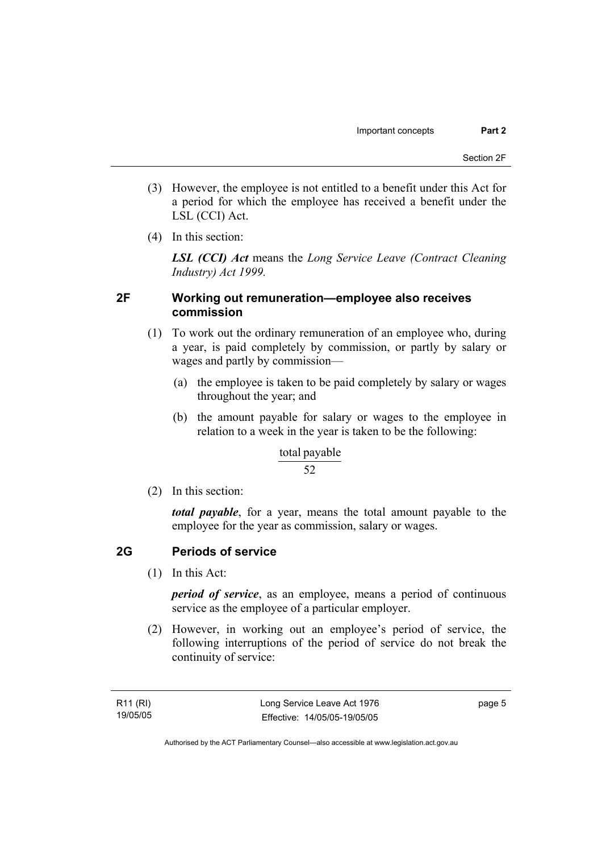- (3) However, the employee is not entitled to a benefit under this Act for a period for which the employee has received a benefit under the LSL (CCI) Act.
- (4) In this section:

*LSL (CCI) Act* means the *Long Service Leave (Contract Cleaning Industry) Act 1999.*

## **2F Working out remuneration—employee also receives commission**

- (1) To work out the ordinary remuneration of an employee who, during a year, is paid completely by commission, or partly by salary or wages and partly by commission—
	- (a) the employee is taken to be paid completely by salary or wages throughout the year; and
	- (b) the amount payable for salary or wages to the employee in relation to a week in the year is taken to be the following:

### total payable

### 52

(2) In this section:

*total payable*, for a year, means the total amount payable to the employee for the year as commission, salary or wages.

## **2G Periods of service**

(1) In this Act:

*period of service*, as an employee, means a period of continuous service as the employee of a particular employer.

 (2) However, in working out an employee's period of service, the following interruptions of the period of service do not break the continuity of service: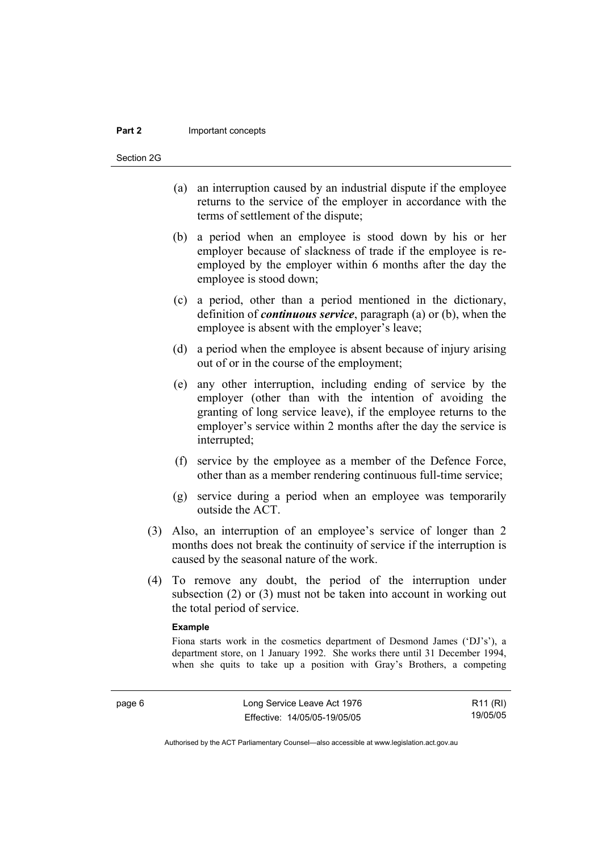#### **Part 2** Important concepts

Section 2G

- (a) an interruption caused by an industrial dispute if the employee returns to the service of the employer in accordance with the terms of settlement of the dispute;
- (b) a period when an employee is stood down by his or her employer because of slackness of trade if the employee is reemployed by the employer within 6 months after the day the employee is stood down;
- (c) a period, other than a period mentioned in the dictionary, definition of *continuous service*, paragraph (a) or (b), when the employee is absent with the employer's leave;
- (d) a period when the employee is absent because of injury arising out of or in the course of the employment;
- (e) any other interruption, including ending of service by the employer (other than with the intention of avoiding the granting of long service leave), if the employee returns to the employer's service within 2 months after the day the service is interrupted;
- (f) service by the employee as a member of the Defence Force, other than as a member rendering continuous full-time service;
- (g) service during a period when an employee was temporarily outside the ACT.
- (3) Also, an interruption of an employee's service of longer than 2 months does not break the continuity of service if the interruption is caused by the seasonal nature of the work.
- (4) To remove any doubt, the period of the interruption under subsection (2) or (3) must not be taken into account in working out the total period of service.

#### **Example**

Fiona starts work in the cosmetics department of Desmond James ('DJ's'), a department store, on 1 January 1992. She works there until 31 December 1994, when she quits to take up a position with Gray's Brothers, a competing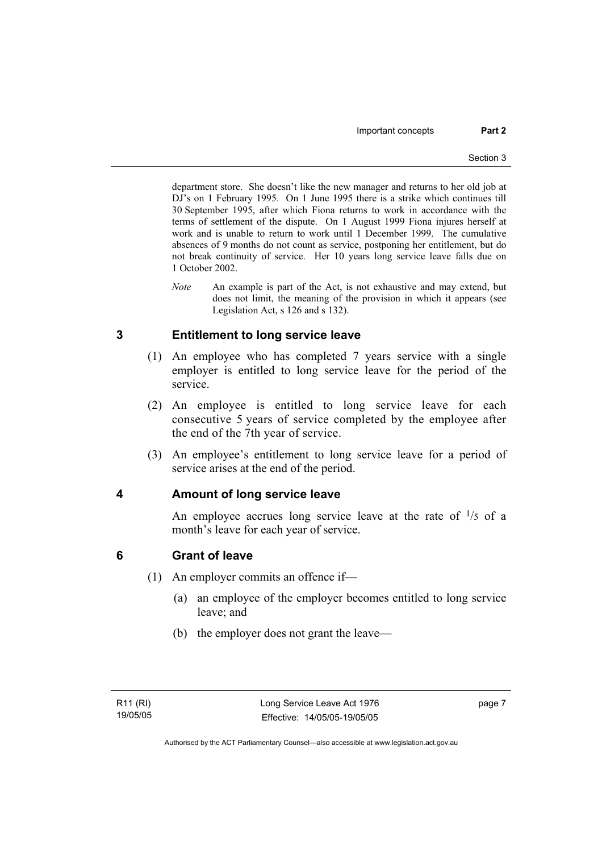department store. She doesn't like the new manager and returns to her old job at DJ's on 1 February 1995. On 1 June 1995 there is a strike which continues till 30 September 1995, after which Fiona returns to work in accordance with the terms of settlement of the dispute. On 1 August 1999 Fiona injures herself at work and is unable to return to work until 1 December 1999. The cumulative absences of 9 months do not count as service, postponing her entitlement, but do not break continuity of service. Her 10 years long service leave falls due on 1 October 2002.

*Note* An example is part of the Act, is not exhaustive and may extend, but does not limit, the meaning of the provision in which it appears (see Legislation Act, s 126 and s 132).

## **3 Entitlement to long service leave**

- (1) An employee who has completed 7 years service with a single employer is entitled to long service leave for the period of the service.
- (2) An employee is entitled to long service leave for each consecutive 5 years of service completed by the employee after the end of the 7th year of service.
- (3) An employee's entitlement to long service leave for a period of service arises at the end of the period.

## **4 Amount of long service leave**

An employee accrues long service leave at the rate of  $\frac{1}{5}$  of a month's leave for each year of service.

## **6 Grant of leave**

- (1) An employer commits an offence if—
	- (a) an employee of the employer becomes entitled to long service leave; and
	- (b) the employer does not grant the leave—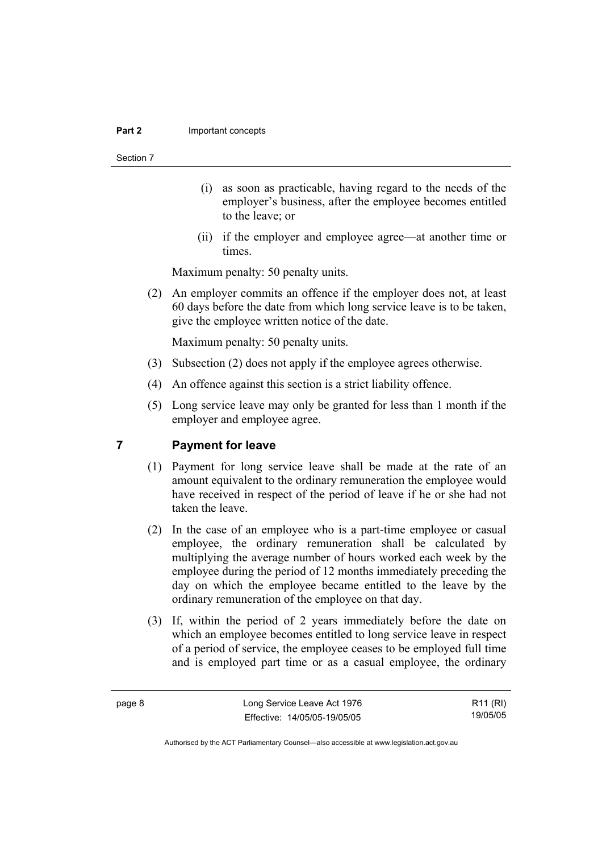#### **Part 2 Important concepts**

#### Section 7

- (i) as soon as practicable, having regard to the needs of the employer's business, after the employee becomes entitled to the leave; or
- (ii) if the employer and employee agree—at another time or times.

Maximum penalty: 50 penalty units.

 (2) An employer commits an offence if the employer does not, at least 60 days before the date from which long service leave is to be taken, give the employee written notice of the date.

Maximum penalty: 50 penalty units.

- (3) Subsection (2) does not apply if the employee agrees otherwise.
- (4) An offence against this section is a strict liability offence.
- (5) Long service leave may only be granted for less than 1 month if the employer and employee agree.

## **7 Payment for leave**

- (1) Payment for long service leave shall be made at the rate of an amount equivalent to the ordinary remuneration the employee would have received in respect of the period of leave if he or she had not taken the leave.
- (2) In the case of an employee who is a part-time employee or casual employee, the ordinary remuneration shall be calculated by multiplying the average number of hours worked each week by the employee during the period of 12 months immediately preceding the day on which the employee became entitled to the leave by the ordinary remuneration of the employee on that day.
- (3) If, within the period of 2 years immediately before the date on which an employee becomes entitled to long service leave in respect of a period of service, the employee ceases to be employed full time and is employed part time or as a casual employee, the ordinary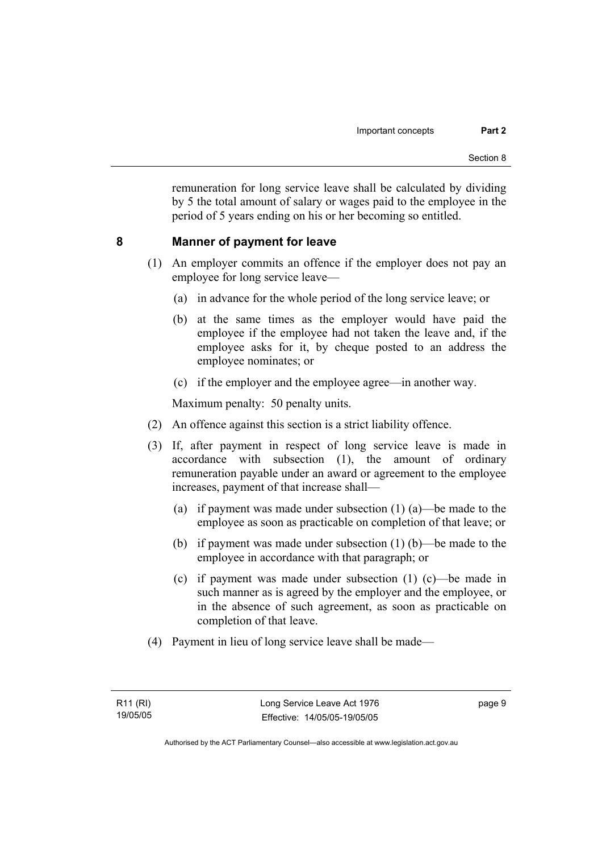remuneration for long service leave shall be calculated by dividing by 5 the total amount of salary or wages paid to the employee in the period of 5 years ending on his or her becoming so entitled.

## **8 Manner of payment for leave**

- (1) An employer commits an offence if the employer does not pay an employee for long service leave—
	- (a) in advance for the whole period of the long service leave; or
	- (b) at the same times as the employer would have paid the employee if the employee had not taken the leave and, if the employee asks for it, by cheque posted to an address the employee nominates; or
	- (c) if the employer and the employee agree—in another way.

Maximum penalty: 50 penalty units.

- (2) An offence against this section is a strict liability offence.
- (3) If, after payment in respect of long service leave is made in accordance with subsection (1), the amount of ordinary remuneration payable under an award or agreement to the employee increases, payment of that increase shall—
	- (a) if payment was made under subsection (1) (a)—be made to the employee as soon as practicable on completion of that leave; or
	- (b) if payment was made under subsection (1) (b)—be made to the employee in accordance with that paragraph; or
	- (c) if payment was made under subsection (1) (c)—be made in such manner as is agreed by the employer and the employee, or in the absence of such agreement, as soon as practicable on completion of that leave.
- (4) Payment in lieu of long service leave shall be made—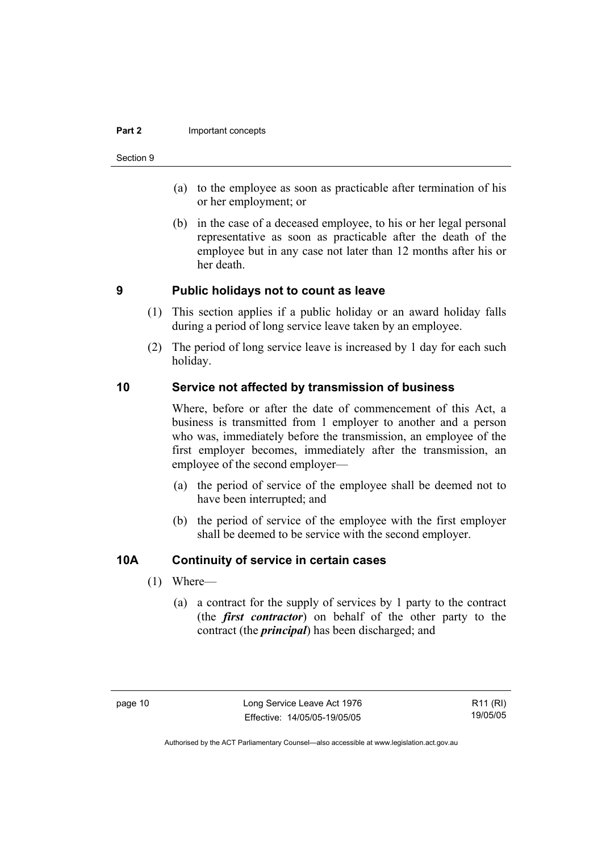#### **Part 2 Important concepts**

#### Section 9

- (a) to the employee as soon as practicable after termination of his or her employment; or
- (b) in the case of a deceased employee, to his or her legal personal representative as soon as practicable after the death of the employee but in any case not later than 12 months after his or her death.

## **9 Public holidays not to count as leave**

- (1) This section applies if a public holiday or an award holiday falls during a period of long service leave taken by an employee.
- (2) The period of long service leave is increased by 1 day for each such holiday.

## **10 Service not affected by transmission of business**

Where, before or after the date of commencement of this Act, a business is transmitted from 1 employer to another and a person who was, immediately before the transmission, an employee of the first employer becomes, immediately after the transmission, an employee of the second employer—

- (a) the period of service of the employee shall be deemed not to have been interrupted; and
- (b) the period of service of the employee with the first employer shall be deemed to be service with the second employer.

## **10A Continuity of service in certain cases**

- (1) Where—
	- (a) a contract for the supply of services by 1 party to the contract (the *first contractor*) on behalf of the other party to the contract (the *principal*) has been discharged; and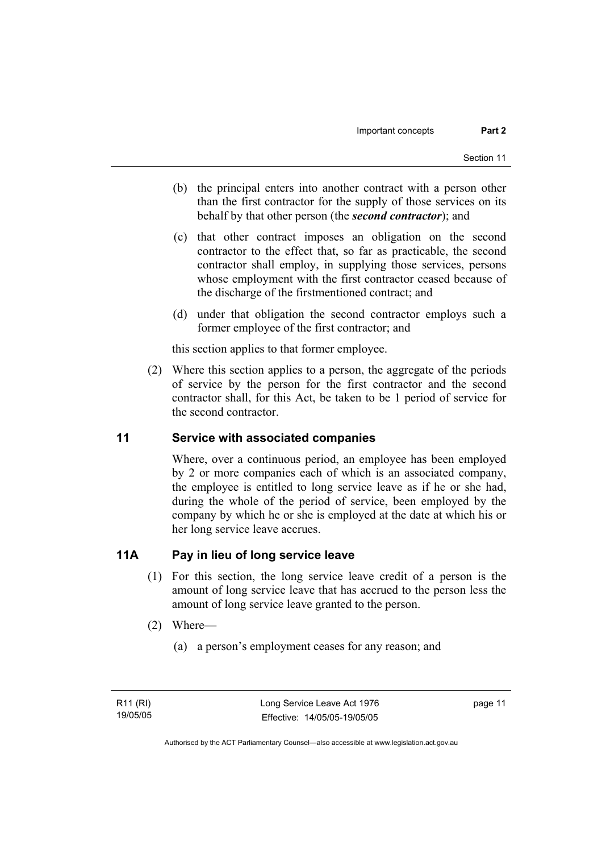- (b) the principal enters into another contract with a person other than the first contractor for the supply of those services on its behalf by that other person (the *second contractor*); and
- (c) that other contract imposes an obligation on the second contractor to the effect that, so far as practicable, the second contractor shall employ, in supplying those services, persons whose employment with the first contractor ceased because of the discharge of the firstmentioned contract; and
- (d) under that obligation the second contractor employs such a former employee of the first contractor; and

this section applies to that former employee.

 (2) Where this section applies to a person, the aggregate of the periods of service by the person for the first contractor and the second contractor shall, for this Act, be taken to be 1 period of service for the second contractor.

## **11 Service with associated companies**

Where, over a continuous period, an employee has been employed by 2 or more companies each of which is an associated company, the employee is entitled to long service leave as if he or she had, during the whole of the period of service, been employed by the company by which he or she is employed at the date at which his or her long service leave accrues.

## **11A Pay in lieu of long service leave**

- (1) For this section, the long service leave credit of a person is the amount of long service leave that has accrued to the person less the amount of long service leave granted to the person.
- (2) Where—
	- (a) a person's employment ceases for any reason; and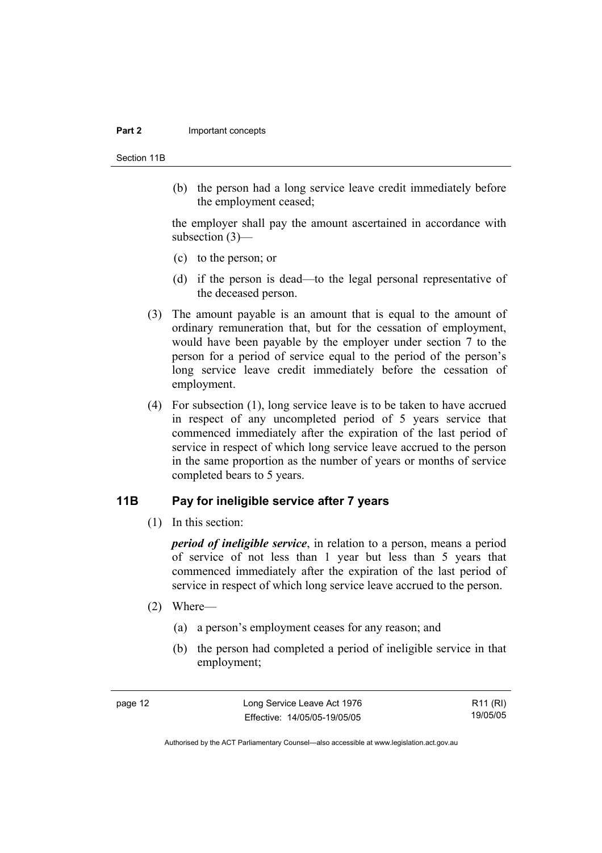#### **Part 2 Important concepts**

Section 11B

 (b) the person had a long service leave credit immediately before the employment ceased;

the employer shall pay the amount ascertained in accordance with subsection (3)—

- (c) to the person; or
- (d) if the person is dead—to the legal personal representative of the deceased person.
- (3) The amount payable is an amount that is equal to the amount of ordinary remuneration that, but for the cessation of employment, would have been payable by the employer under section 7 to the person for a period of service equal to the period of the person's long service leave credit immediately before the cessation of employment.
- (4) For subsection (1), long service leave is to be taken to have accrued in respect of any uncompleted period of 5 years service that commenced immediately after the expiration of the last period of service in respect of which long service leave accrued to the person in the same proportion as the number of years or months of service completed bears to 5 years.

## **11B Pay for ineligible service after 7 years**

(1) In this section:

*period of ineligible service*, in relation to a person, means a period of service of not less than 1 year but less than 5 years that commenced immediately after the expiration of the last period of service in respect of which long service leave accrued to the person.

- (2) Where—
	- (a) a person's employment ceases for any reason; and
	- (b) the person had completed a period of ineligible service in that employment;

R11 (RI) 19/05/05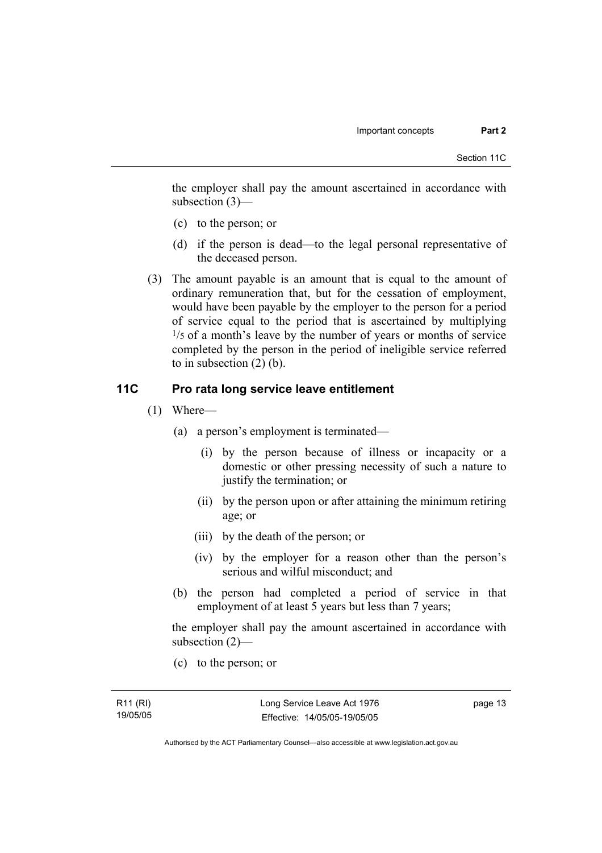the employer shall pay the amount ascertained in accordance with subsection (3)—

- (c) to the person; or
- (d) if the person is dead—to the legal personal representative of the deceased person.
- (3) The amount payable is an amount that is equal to the amount of ordinary remuneration that, but for the cessation of employment, would have been payable by the employer to the person for a period of service equal to the period that is ascertained by multiplying  $\frac{1}{5}$  of a month's leave by the number of years or months of service completed by the person in the period of ineligible service referred to in subsection (2) (b).

## **11C Pro rata long service leave entitlement**

- (1) Where—
	- (a) a person's employment is terminated—
		- (i) by the person because of illness or incapacity or a domestic or other pressing necessity of such a nature to justify the termination; or
		- (ii) by the person upon or after attaining the minimum retiring age; or
		- (iii) by the death of the person; or
		- (iv) by the employer for a reason other than the person's serious and wilful misconduct; and
	- (b) the person had completed a period of service in that employment of at least 5 years but less than 7 years;

the employer shall pay the amount ascertained in accordance with subsection (2)—

(c) to the person; or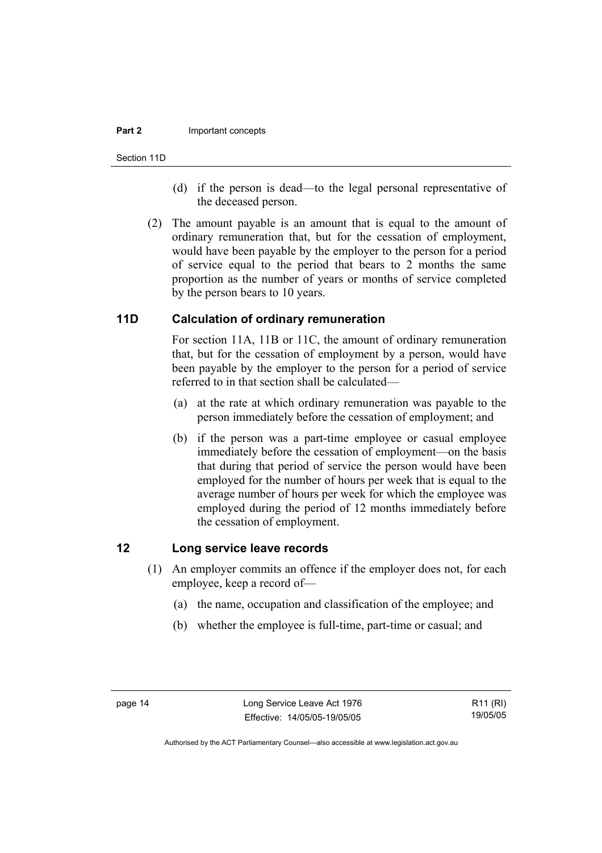#### **Part 2 Important concepts**

Section 11D

- (d) if the person is dead—to the legal personal representative of the deceased person.
- (2) The amount payable is an amount that is equal to the amount of ordinary remuneration that, but for the cessation of employment, would have been payable by the employer to the person for a period of service equal to the period that bears to 2 months the same proportion as the number of years or months of service completed by the person bears to 10 years.

## **11D Calculation of ordinary remuneration**

For section 11A, 11B or 11C, the amount of ordinary remuneration that, but for the cessation of employment by a person, would have been payable by the employer to the person for a period of service referred to in that section shall be calculated—

- (a) at the rate at which ordinary remuneration was payable to the person immediately before the cessation of employment; and
- (b) if the person was a part-time employee or casual employee immediately before the cessation of employment—on the basis that during that period of service the person would have been employed for the number of hours per week that is equal to the average number of hours per week for which the employee was employed during the period of 12 months immediately before the cessation of employment.

## **12 Long service leave records**

- (1) An employer commits an offence if the employer does not, for each employee, keep a record of—
	- (a) the name, occupation and classification of the employee; and
	- (b) whether the employee is full-time, part-time or casual; and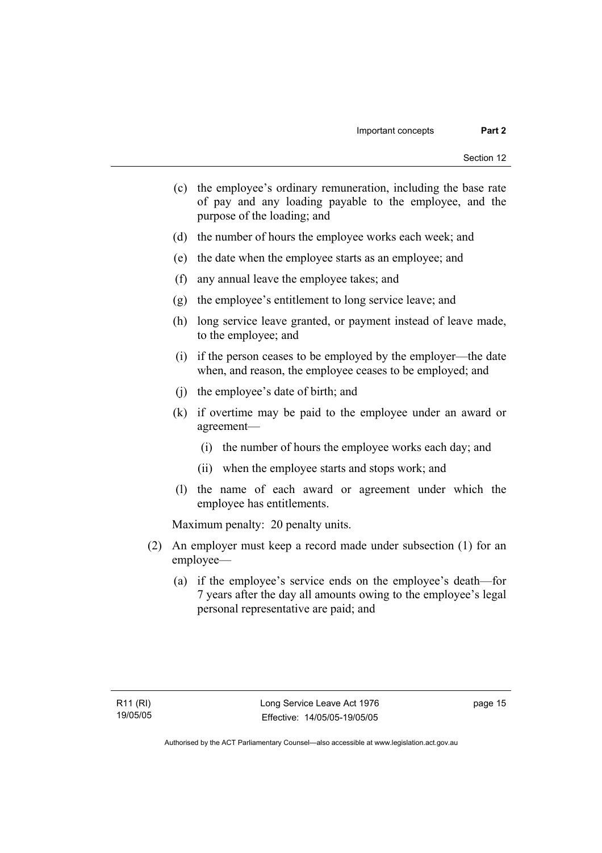- (c) the employee's ordinary remuneration, including the base rate of pay and any loading payable to the employee, and the purpose of the loading; and
- (d) the number of hours the employee works each week; and
- (e) the date when the employee starts as an employee; and
- (f) any annual leave the employee takes; and
- (g) the employee's entitlement to long service leave; and
- (h) long service leave granted, or payment instead of leave made, to the employee; and
- (i) if the person ceases to be employed by the employer—the date when, and reason, the employee ceases to be employed; and
- (j) the employee's date of birth; and
- (k) if overtime may be paid to the employee under an award or agreement—
	- (i) the number of hours the employee works each day; and
	- (ii) when the employee starts and stops work; and
- (l) the name of each award or agreement under which the employee has entitlements.

Maximum penalty: 20 penalty units.

- (2) An employer must keep a record made under subsection (1) for an employee—
	- (a) if the employee's service ends on the employee's death—for 7 years after the day all amounts owing to the employee's legal personal representative are paid; and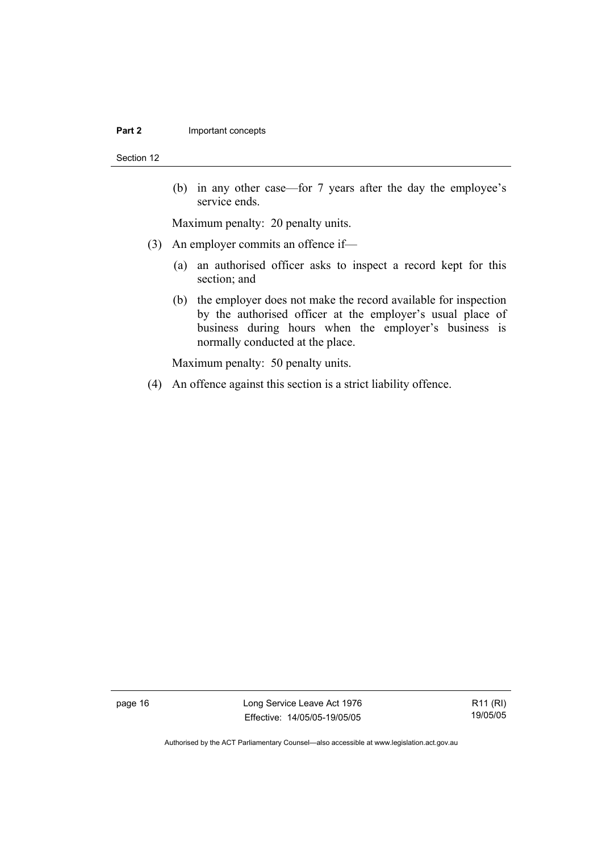#### **Part 2 Important concepts**

Section 12

 (b) in any other case—for 7 years after the day the employee's service ends.

Maximum penalty: 20 penalty units.

- (3) An employer commits an offence if—
	- (a) an authorised officer asks to inspect a record kept for this section; and
	- (b) the employer does not make the record available for inspection by the authorised officer at the employer's usual place of business during hours when the employer's business is normally conducted at the place.

Maximum penalty: 50 penalty units.

(4) An offence against this section is a strict liability offence.

page 16 Long Service Leave Act 1976 Effective: 14/05/05-19/05/05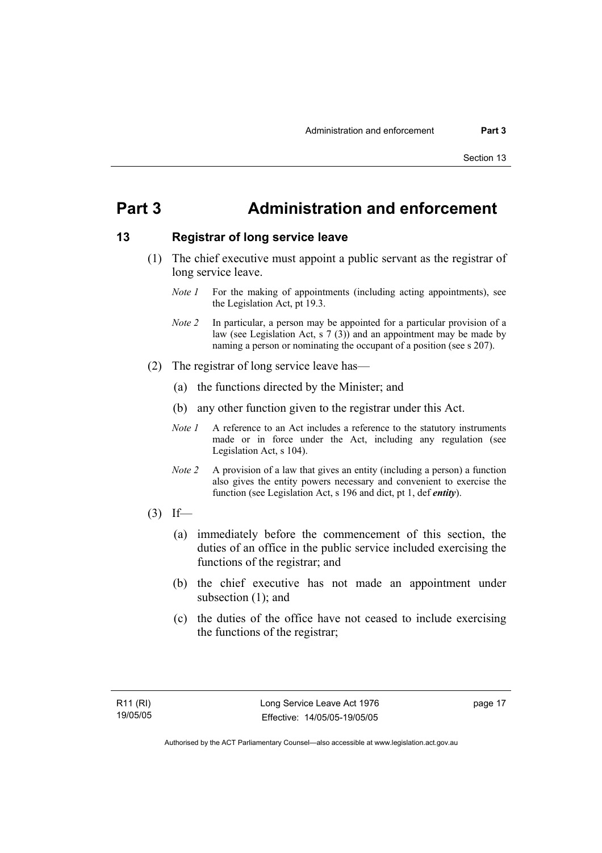## **Part 3 Administration and enforcement**

## **13 Registrar of long service leave**

- (1) The chief executive must appoint a public servant as the registrar of long service leave.
	- *Note 1* For the making of appointments (including acting appointments), see the Legislation Act, pt 19.3.
	- *Note 2* In particular, a person may be appointed for a particular provision of a law (see Legislation Act, s  $7(3)$ ) and an appointment may be made by naming a person or nominating the occupant of a position (see s 207).
- (2) The registrar of long service leave has—
	- (a) the functions directed by the Minister; and
	- (b) any other function given to the registrar under this Act.
	- *Note 1* A reference to an Act includes a reference to the statutory instruments made or in force under the Act, including any regulation (see Legislation Act, s 104).
	- *Note 2* A provision of a law that gives an entity (including a person) a function also gives the entity powers necessary and convenient to exercise the function (see Legislation Act, s 196 and dict, pt 1, def *entity*).
- $(3)$  If—
	- (a) immediately before the commencement of this section, the duties of an office in the public service included exercising the functions of the registrar; and
	- (b) the chief executive has not made an appointment under subsection (1); and
	- (c) the duties of the office have not ceased to include exercising the functions of the registrar;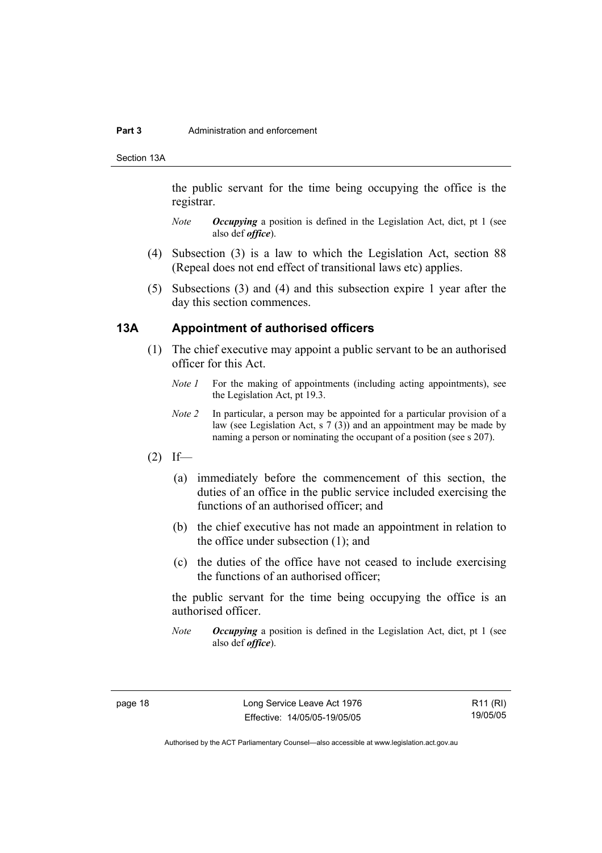#### **Part 3** Administration and enforcement

Section 13A

the public servant for the time being occupying the office is the registrar.

- *Note Occupying* a position is defined in the Legislation Act, dict, pt 1 (see also def *office*).
- (4) Subsection (3) is a law to which the Legislation Act, section 88 (Repeal does not end effect of transitional laws etc) applies.
- (5) Subsections (3) and (4) and this subsection expire 1 year after the day this section commences.

## **13A Appointment of authorised officers**

- (1) The chief executive may appoint a public servant to be an authorised officer for this Act.
	- *Note 1* For the making of appointments (including acting appointments), see the Legislation Act, pt 19.3.
	- *Note 2* In particular, a person may be appointed for a particular provision of a law (see Legislation Act, s 7 (3)) and an appointment may be made by naming a person or nominating the occupant of a position (see s 207).
- $(2)$  If—
	- (a) immediately before the commencement of this section, the duties of an office in the public service included exercising the functions of an authorised officer; and
	- (b) the chief executive has not made an appointment in relation to the office under subsection (1); and
	- (c) the duties of the office have not ceased to include exercising the functions of an authorised officer;

the public servant for the time being occupying the office is an authorised officer.

*Note Occupying* a position is defined in the Legislation Act, dict, pt 1 (see also def *office*).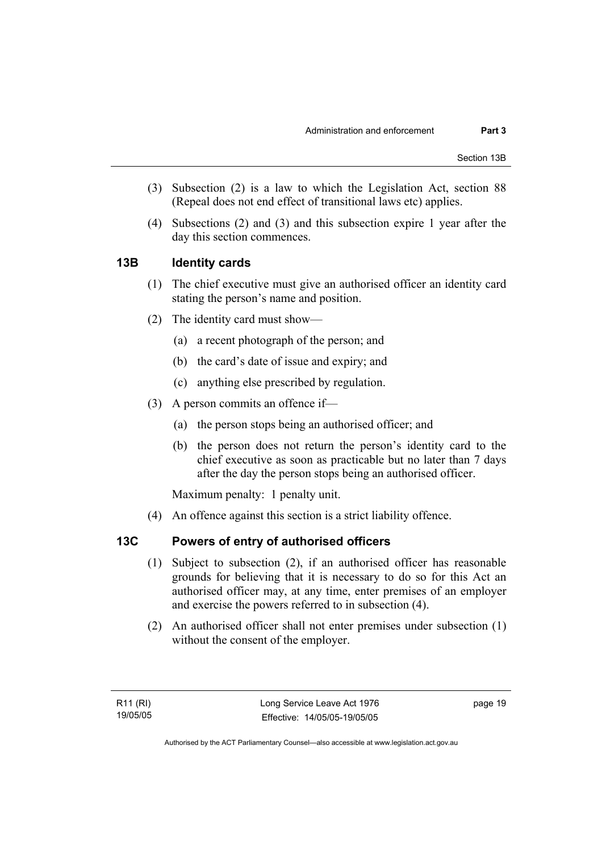- (3) Subsection (2) is a law to which the Legislation Act, section 88 (Repeal does not end effect of transitional laws etc) applies.
- (4) Subsections (2) and (3) and this subsection expire 1 year after the day this section commences.

## **13B Identity cards**

- (1) The chief executive must give an authorised officer an identity card stating the person's name and position.
- (2) The identity card must show—
	- (a) a recent photograph of the person; and
	- (b) the card's date of issue and expiry; and
	- (c) anything else prescribed by regulation.
- (3) A person commits an offence if—
	- (a) the person stops being an authorised officer; and
	- (b) the person does not return the person's identity card to the chief executive as soon as practicable but no later than 7 days after the day the person stops being an authorised officer.

Maximum penalty: 1 penalty unit.

(4) An offence against this section is a strict liability offence.

## **13C Powers of entry of authorised officers**

- (1) Subject to subsection (2), if an authorised officer has reasonable grounds for believing that it is necessary to do so for this Act an authorised officer may, at any time, enter premises of an employer and exercise the powers referred to in subsection (4).
- (2) An authorised officer shall not enter premises under subsection (1) without the consent of the employer.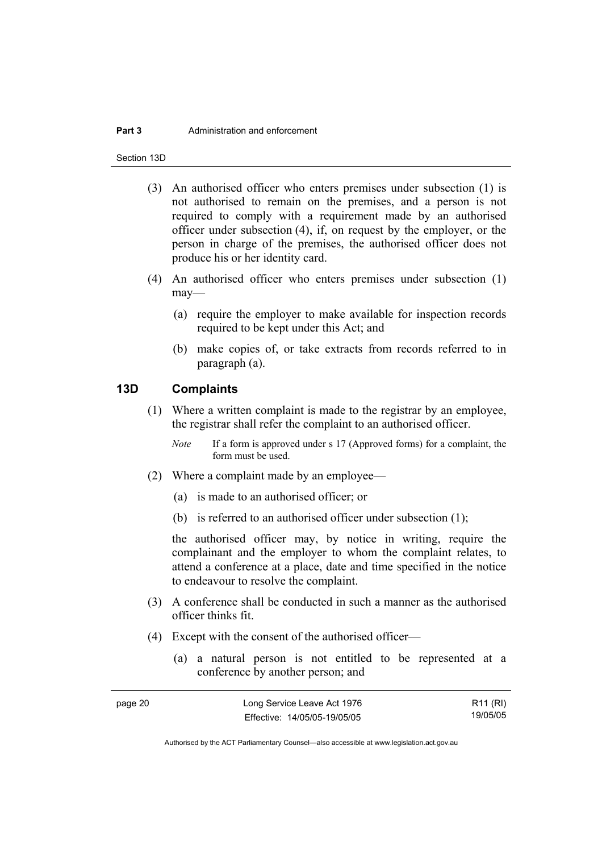#### **Part 3** Administration and enforcement

Section 13D

- (3) An authorised officer who enters premises under subsection (1) is not authorised to remain on the premises, and a person is not required to comply with a requirement made by an authorised officer under subsection (4), if, on request by the employer, or the person in charge of the premises, the authorised officer does not produce his or her identity card.
- (4) An authorised officer who enters premises under subsection (1) may—
	- (a) require the employer to make available for inspection records required to be kept under this Act; and
	- (b) make copies of, or take extracts from records referred to in paragraph (a).

## **13D Complaints**

- (1) Where a written complaint is made to the registrar by an employee, the registrar shall refer the complaint to an authorised officer.
	- *Note* If a form is approved under s 17 (Approved forms) for a complaint, the form must be used.
- (2) Where a complaint made by an employee—
	- (a) is made to an authorised officer; or
	- (b) is referred to an authorised officer under subsection (1);

the authorised officer may, by notice in writing, require the complainant and the employer to whom the complaint relates, to attend a conference at a place, date and time specified in the notice to endeavour to resolve the complaint.

- (3) A conference shall be conducted in such a manner as the authorised officer thinks fit.
- (4) Except with the consent of the authorised officer—
	- (a) a natural person is not entitled to be represented at a conference by another person; and

| page 20 | Long Service Leave Act 1976  | R11 (RI) |
|---------|------------------------------|----------|
|         | Effective: 14/05/05-19/05/05 | 19/05/05 |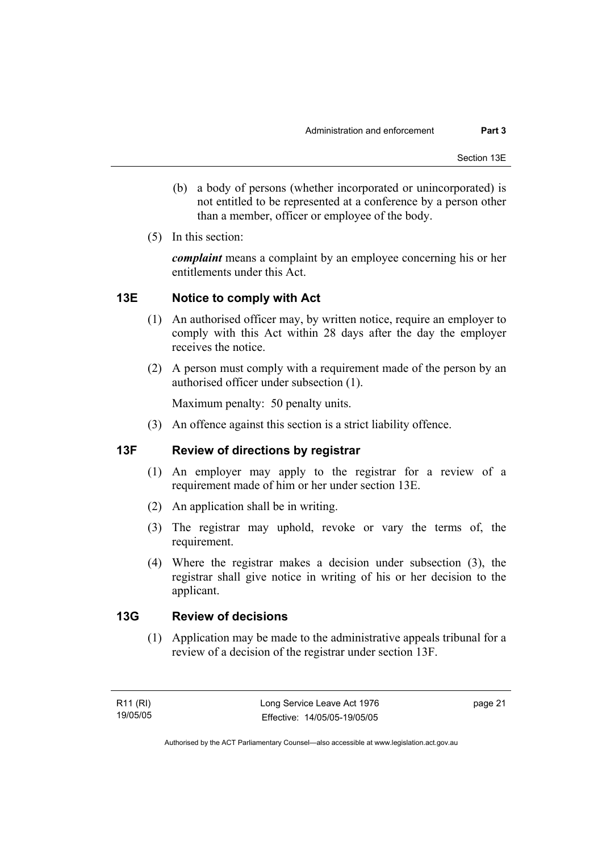- (b) a body of persons (whether incorporated or unincorporated) is not entitled to be represented at a conference by a person other than a member, officer or employee of the body.
- (5) In this section:

*complaint* means a complaint by an employee concerning his or her entitlements under this Act.

## **13E Notice to comply with Act**

- (1) An authorised officer may, by written notice, require an employer to comply with this Act within 28 days after the day the employer receives the notice.
- (2) A person must comply with a requirement made of the person by an authorised officer under subsection (1).

Maximum penalty: 50 penalty units.

(3) An offence against this section is a strict liability offence.

## **13F Review of directions by registrar**

- (1) An employer may apply to the registrar for a review of a requirement made of him or her under section 13E.
- (2) An application shall be in writing.
- (3) The registrar may uphold, revoke or vary the terms of, the requirement.
- (4) Where the registrar makes a decision under subsection (3), the registrar shall give notice in writing of his or her decision to the applicant.

## **13G Review of decisions**

 (1) Application may be made to the administrative appeals tribunal for a review of a decision of the registrar under section 13F.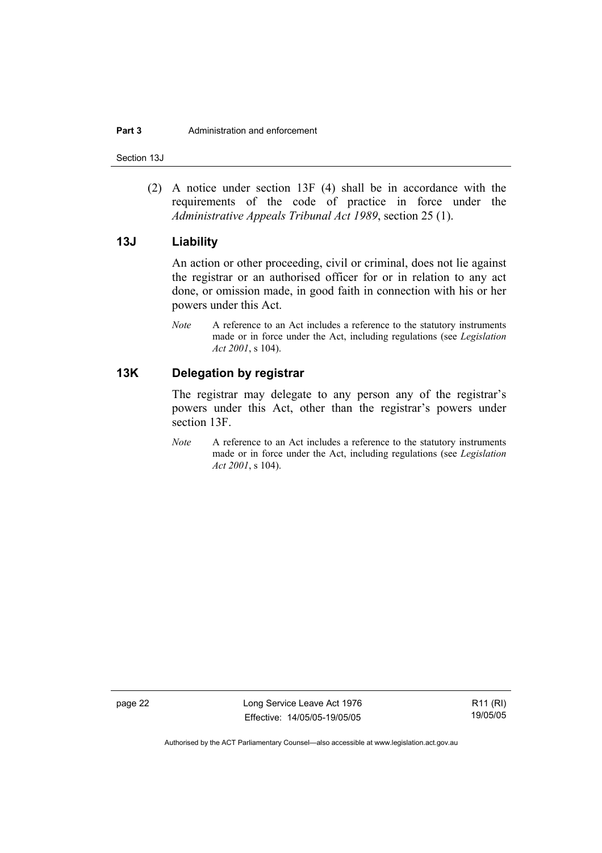Section 13J

 (2) A notice under section 13F (4) shall be in accordance with the requirements of the code of practice in force under the *Administrative Appeals Tribunal Act 1989*, section 25 (1).

## **13J Liability**

An action or other proceeding, civil or criminal, does not lie against the registrar or an authorised officer for or in relation to any act done, or omission made, in good faith in connection with his or her powers under this Act.

*Note* A reference to an Act includes a reference to the statutory instruments made or in force under the Act, including regulations (see *Legislation Act 2001*, s 104).

## **13K Delegation by registrar**

The registrar may delegate to any person any of the registrar's powers under this Act, other than the registrar's powers under section 13F.

*Note* A reference to an Act includes a reference to the statutory instruments made or in force under the Act, including regulations (see *Legislation Act 2001*, s 104).

page 22 Long Service Leave Act 1976 Effective: 14/05/05-19/05/05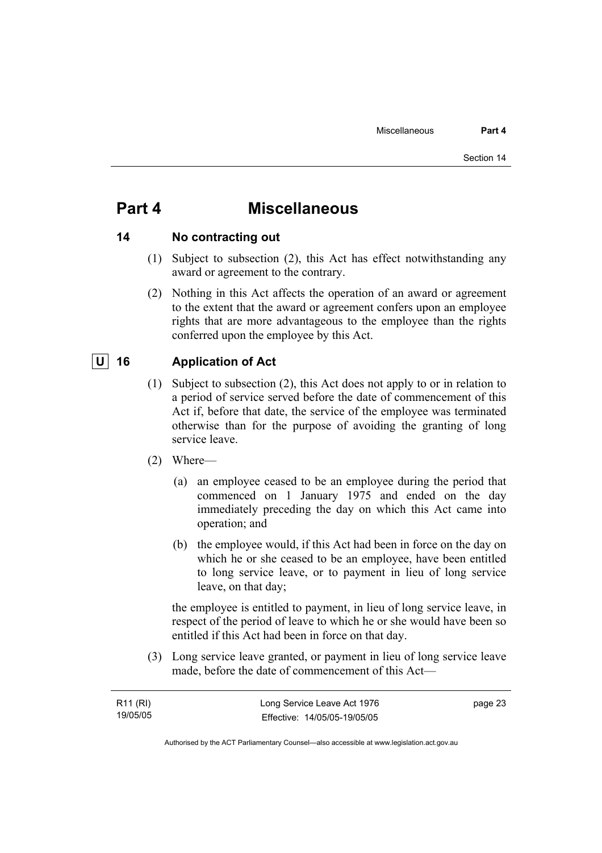## **Part 4 Miscellaneous**

## **14 No contracting out**

- (1) Subject to subsection (2), this Act has effect notwithstanding any award or agreement to the contrary.
- (2) Nothing in this Act affects the operation of an award or agreement to the extent that the award or agreement confers upon an employee rights that are more advantageous to the employee than the rights conferred upon the employee by this Act.

## **U 16 Application of Act**

- (1) Subject to subsection (2), this Act does not apply to or in relation to a period of service served before the date of commencement of this Act if, before that date, the service of the employee was terminated otherwise than for the purpose of avoiding the granting of long service leave.
- (2) Where—
	- (a) an employee ceased to be an employee during the period that commenced on 1 January 1975 and ended on the day immediately preceding the day on which this Act came into operation; and
	- (b) the employee would, if this Act had been in force on the day on which he or she ceased to be an employee, have been entitled to long service leave, or to payment in lieu of long service leave, on that day;

the employee is entitled to payment, in lieu of long service leave, in respect of the period of leave to which he or she would have been so entitled if this Act had been in force on that day.

 (3) Long service leave granted, or payment in lieu of long service leave made, before the date of commencement of this Act—

| R11 (RI) | Long Service Leave Act 1976  | page 23 |
|----------|------------------------------|---------|
| 19/05/05 | Effective: 14/05/05-19/05/05 |         |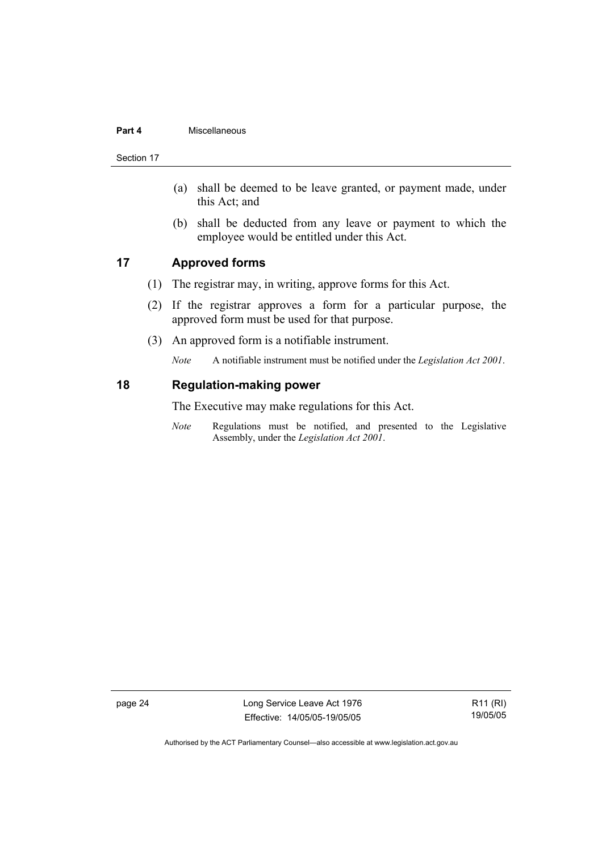#### **Part 4** Miscellaneous

Section 17

- (a) shall be deemed to be leave granted, or payment made, under this Act; and
- (b) shall be deducted from any leave or payment to which the employee would be entitled under this Act.

## **17 Approved forms**

- (1) The registrar may, in writing, approve forms for this Act.
- (2) If the registrar approves a form for a particular purpose, the approved form must be used for that purpose.
- (3) An approved form is a notifiable instrument.

*Note* A notifiable instrument must be notified under the *Legislation Act 2001*.

### **18 Regulation-making power**

The Executive may make regulations for this Act.

*Note* Regulations must be notified, and presented to the Legislative Assembly, under the *Legislation Act 2001*.

page 24 Long Service Leave Act 1976 Effective: 14/05/05-19/05/05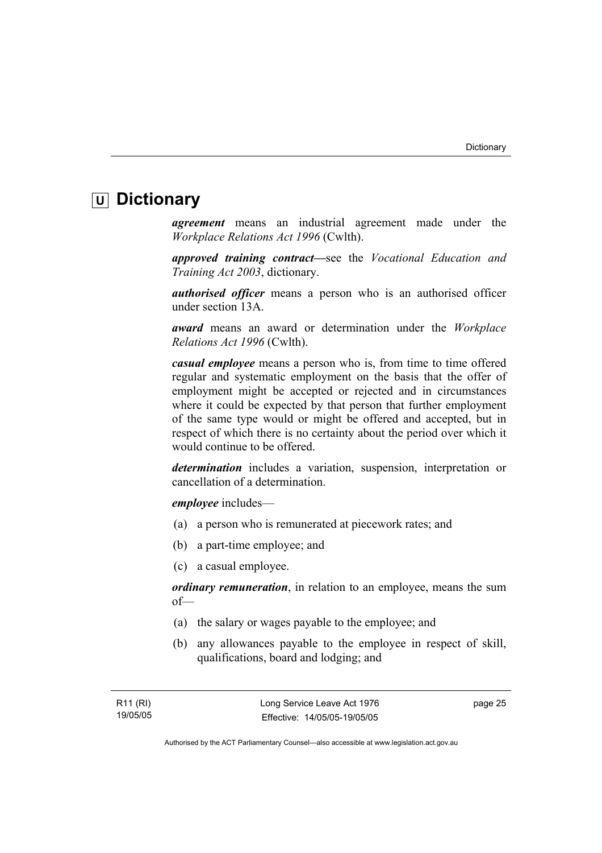## **U Dictionary**

*agreement* means an industrial agreement made under the *Workplace Relations Act 1996* (Cwlth).

*approved training contract—*see the *Vocational Education and Training Act 2003*, dictionary.

*authorised officer* means a person who is an authorised officer under section 13A.

*award* means an award or determination under the *Workplace Relations Act 1996* (Cwlth).

*casual employee* means a person who is, from time to time offered regular and systematic employment on the basis that the offer of employment might be accepted or rejected and in circumstances where it could be expected by that person that further employment of the same type would or might be offered and accepted, but in respect of which there is no certainty about the period over which it would continue to be offered.

*determination* includes a variation, suspension, interpretation or cancellation of a determination.

*employee* includes—

- (a) a person who is remunerated at piecework rates; and
- (b) a part-time employee; and
- (c) a casual employee.

*ordinary remuneration*, in relation to an employee, means the sum of—

- (a) the salary or wages payable to the employee; and
- (b) any allowances payable to the employee in respect of skill, qualifications, board and lodging; and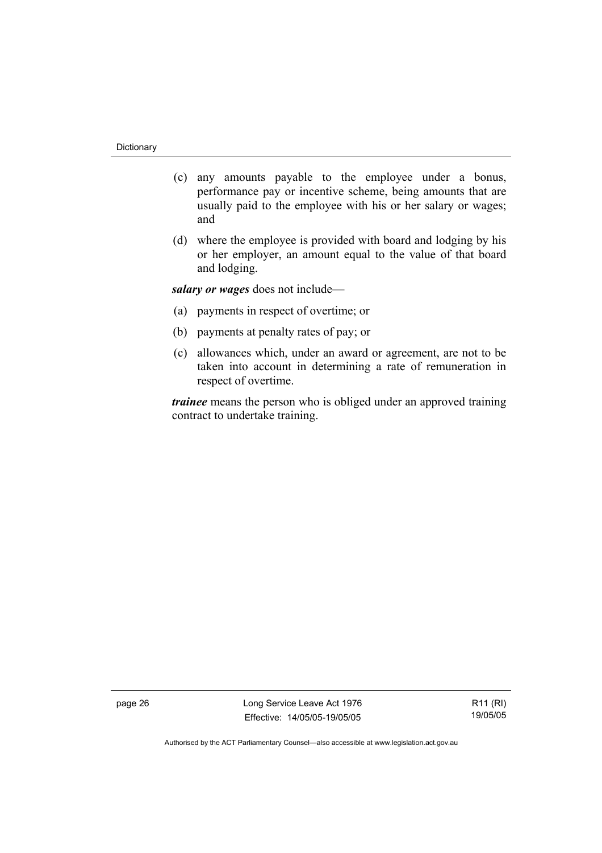- (c) any amounts payable to the employee under a bonus, performance pay or incentive scheme, being amounts that are usually paid to the employee with his or her salary or wages; and
- (d) where the employee is provided with board and lodging by his or her employer, an amount equal to the value of that board and lodging.

*salary or wages* does not include—

- (a) payments in respect of overtime; or
- (b) payments at penalty rates of pay; or
- (c) allowances which, under an award or agreement, are not to be taken into account in determining a rate of remuneration in respect of overtime.

*trainee* means the person who is obliged under an approved training contract to undertake training.

page 26 Long Service Leave Act 1976 Effective: 14/05/05-19/05/05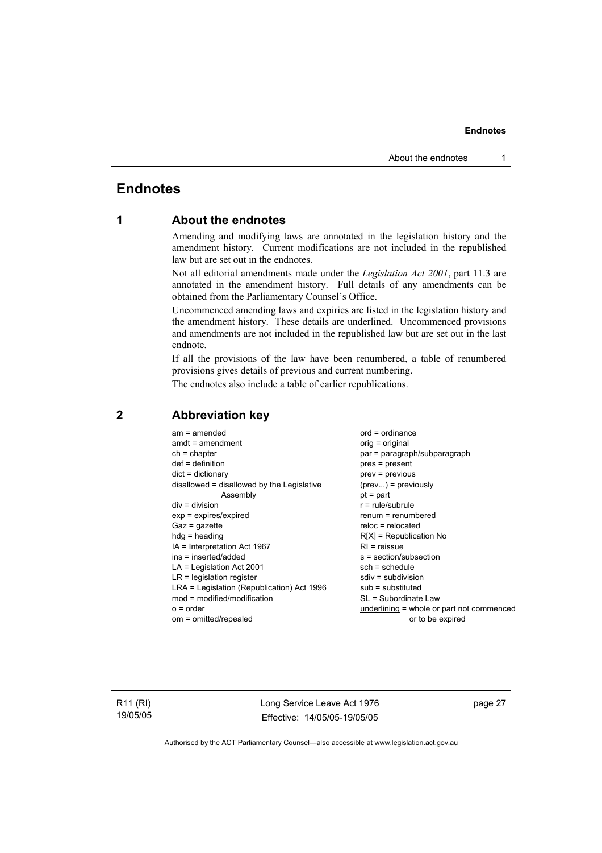## **Endnotes**

## **1 About the endnotes**

Amending and modifying laws are annotated in the legislation history and the amendment history. Current modifications are not included in the republished law but are set out in the endnotes.

Not all editorial amendments made under the *Legislation Act 2001*, part 11.3 are annotated in the amendment history. Full details of any amendments can be obtained from the Parliamentary Counsel's Office.

Uncommenced amending laws and expiries are listed in the legislation history and the amendment history. These details are underlined. Uncommenced provisions and amendments are not included in the republished law but are set out in the last endnote.

If all the provisions of the law have been renumbered, a table of renumbered provisions gives details of previous and current numbering.

The endnotes also include a table of earlier republications.

| $am = amended$<br>$amdt = amendment$<br>$ch = chapter$<br>$def = definition$<br>$dict = dictionary$<br>disallowed = disallowed by the Legislative<br>Assembly<br>$div = division$<br>$exp = expires/expired$<br>$Gaz = gazette$<br>$hdg =$ heading<br>$IA = Interpretation Act 1967$<br>$ins = inserted/added$<br>$LA =$ Legislation Act 2001<br>$LR =$ legislation register<br>LRA = Legislation (Republication) Act 1996<br>$mod = modified/modification$ | $ord = ordinance$<br>orig = original<br>par = paragraph/subparagraph<br>$pres = present$<br>$prev = previous$<br>$(\text{prev}) = \text{previously}$<br>$pt = part$<br>$r = rule/subrule$<br>$renum = renumbered$<br>$reloc = relocated$<br>$R[X]$ = Republication No<br>$RI =$ reissue<br>$s = section/subsection$<br>$sch = schedule$<br>$sdiv = subdivision$<br>$sub =$ substituted<br>SL = Subordinate Law |
|-------------------------------------------------------------------------------------------------------------------------------------------------------------------------------------------------------------------------------------------------------------------------------------------------------------------------------------------------------------------------------------------------------------------------------------------------------------|----------------------------------------------------------------------------------------------------------------------------------------------------------------------------------------------------------------------------------------------------------------------------------------------------------------------------------------------------------------------------------------------------------------|
| $o = order$                                                                                                                                                                                                                                                                                                                                                                                                                                                 | underlining = whole or part not commenced                                                                                                                                                                                                                                                                                                                                                                      |
| om = omitted/repealed                                                                                                                                                                                                                                                                                                                                                                                                                                       | or to be expired                                                                                                                                                                                                                                                                                                                                                                                               |

## **2 Abbreviation key**

R11 (RI) 19/05/05 Long Service Leave Act 1976 Effective: 14/05/05-19/05/05 page 27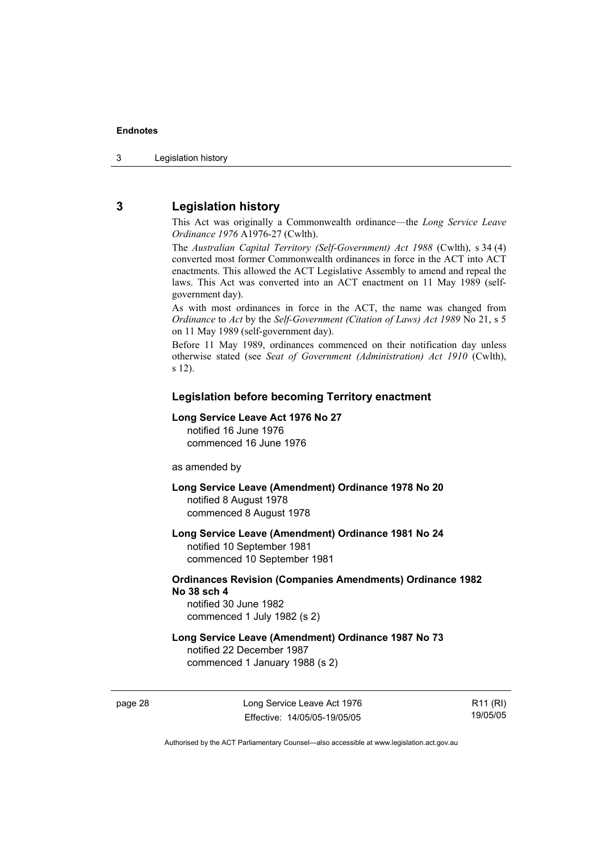## **3 Legislation history**

This Act was originally a Commonwealth ordinance—the *Long Service Leave Ordinance 1976* A1976-27 (Cwlth).

The *Australian Capital Territory (Self-Government) Act 1988* (Cwlth), s 34 (4) converted most former Commonwealth ordinances in force in the ACT into ACT enactments. This allowed the ACT Legislative Assembly to amend and repeal the laws. This Act was converted into an ACT enactment on 11 May 1989 (selfgovernment day).

As with most ordinances in force in the ACT, the name was changed from *Ordinance* to *Act* by the *Self-Government (Citation of Laws) Act 1989* No 21, s 5 on 11 May 1989 (self-government day).

Before 11 May 1989, ordinances commenced on their notification day unless otherwise stated (see *Seat of Government (Administration) Act 1910* (Cwlth), s 12).

### **Legislation before becoming Territory enactment**

#### **Long Service Leave Act 1976 No 27**

notified 16 June 1976 commenced 16 June 1976

as amended by

**Long Service Leave (Amendment) Ordinance 1978 No 20**  notified 8 August 1978 commenced 8 August 1978

**Long Service Leave (Amendment) Ordinance 1981 No 24**  notified 10 September 1981

commenced 10 September 1981

## **Ordinances Revision (Companies Amendments) Ordinance 1982 No 38 sch 4**

notified 30 June 1982 commenced 1 July 1982 (s 2)

## **Long Service Leave (Amendment) Ordinance 1987 No 73**

notified 22 December 1987 commenced 1 January 1988 (s 2)

page 28 Long Service Leave Act 1976 Effective: 14/05/05-19/05/05

R11 (RI) 19/05/05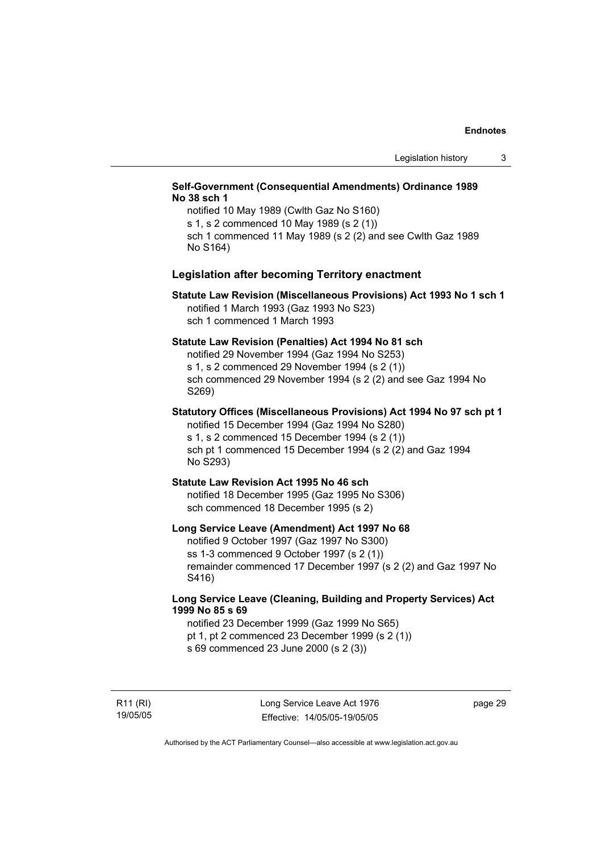### **Self-Government (Consequential Amendments) Ordinance 1989 No 38 sch 1**

notified 10 May 1989 (Cwlth Gaz No S160) s 1, s 2 commenced 10 May 1989 (s 2 (1)) sch 1 commenced 11 May 1989 (s 2 (2) and see Cwlth Gaz 1989 No S164)

#### **Legislation after becoming Territory enactment**

#### **Statute Law Revision (Miscellaneous Provisions) Act 1993 No 1 sch 1**  notified 1 March 1993 (Gaz 1993 No S23) sch 1 commenced 1 March 1993

#### **Statute Law Revision (Penalties) Act 1994 No 81 sch**

notified 29 November 1994 (Gaz 1994 No S253) s 1, s 2 commenced 29 November 1994 (s 2 (1)) sch commenced 29 November 1994 (s 2 (2) and see Gaz 1994 No S269)

## **Statutory Offices (Miscellaneous Provisions) Act 1994 No 97 sch pt 1**

notified 15 December 1994 (Gaz 1994 No S280) s 1, s 2 commenced 15 December 1994 (s 2 (1)) sch pt 1 commenced 15 December 1994 (s 2 (2) and Gaz 1994 No S293)

#### **Statute Law Revision Act 1995 No 46 sch**

notified 18 December 1995 (Gaz 1995 No S306) sch commenced 18 December 1995 (s 2)

#### **Long Service Leave (Amendment) Act 1997 No 68**

notified 9 October 1997 (Gaz 1997 No S300) ss 1-3 commenced 9 October 1997 (s 2 (1)) remainder commenced 17 December 1997 (s 2 (2) and Gaz 1997 No S416)

### **Long Service Leave (Cleaning, Building and Property Services) Act 1999 No 85 s 69**

notified 23 December 1999 (Gaz 1999 No S65) pt 1, pt 2 commenced 23 December 1999 (s 2 (1)) s 69 commenced 23 June 2000 (s 2 (3))

R11 (RI) 19/05/05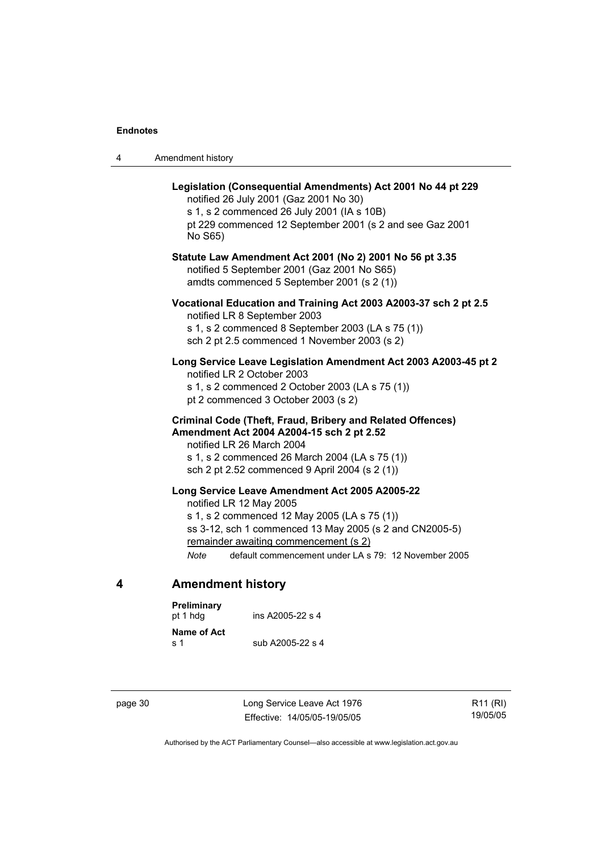|  | Amendment history |
|--|-------------------|
|--|-------------------|

| Legislation (Consequential Amendments) Act 2001 No 44 pt 229<br>notified 26 July 2001 (Gaz 2001 No 30)<br>s 1, s 2 commenced 26 July 2001 (IA s 10B)<br>pt 229 commenced 12 September 2001 (s 2 and see Gaz 2001<br>No S65)                                                                   |
|-----------------------------------------------------------------------------------------------------------------------------------------------------------------------------------------------------------------------------------------------------------------------------------------------|
| Statute Law Amendment Act 2001 (No 2) 2001 No 56 pt 3.35<br>notified 5 September 2001 (Gaz 2001 No S65)<br>amdts commenced 5 September 2001 (s 2 (1))                                                                                                                                         |
| Vocational Education and Training Act 2003 A2003-37 sch 2 pt 2.5<br>notified LR 8 September 2003<br>s 1, s 2 commenced 8 September 2003 (LA s 75 (1))<br>sch 2 pt 2.5 commenced 1 November 2003 (s 2)                                                                                         |
| Long Service Leave Legislation Amendment Act 2003 A2003-45 pt 2<br>notified LR 2 October 2003<br>s 1, s 2 commenced 2 October 2003 (LA s 75 (1))<br>pt 2 commenced 3 October 2003 (s 2)                                                                                                       |
| Criminal Code (Theft, Fraud, Bribery and Related Offences)<br>Amendment Act 2004 A2004-15 sch 2 pt 2.52<br>notified LR 26 March 2004<br>s 1, s 2 commenced 26 March 2004 (LA s 75 (1))<br>sch 2 pt 2.52 commenced 9 April 2004 (s 2 (1))                                                      |
| Long Service Leave Amendment Act 2005 A2005-22<br>notified LR 12 May 2005<br>s 1, s 2 commenced 12 May 2005 (LA s 75 (1))<br>ss 3-12, sch 1 commenced 13 May 2005 (s 2 and CN2005-5)<br>remainder awaiting commencement (s 2)<br>default commencement under LA s 79: 12 November 2005<br>Note |

## **4 Amendment history**

| Preliminary<br>pt 1 hda | ins A2005-22 s 4 |
|-------------------------|------------------|
| Name of Act<br>ร 1      | sub A2005-22 s 4 |

page 30 Long Service Leave Act 1976 Effective: 14/05/05-19/05/05

R11 (RI) 19/05/05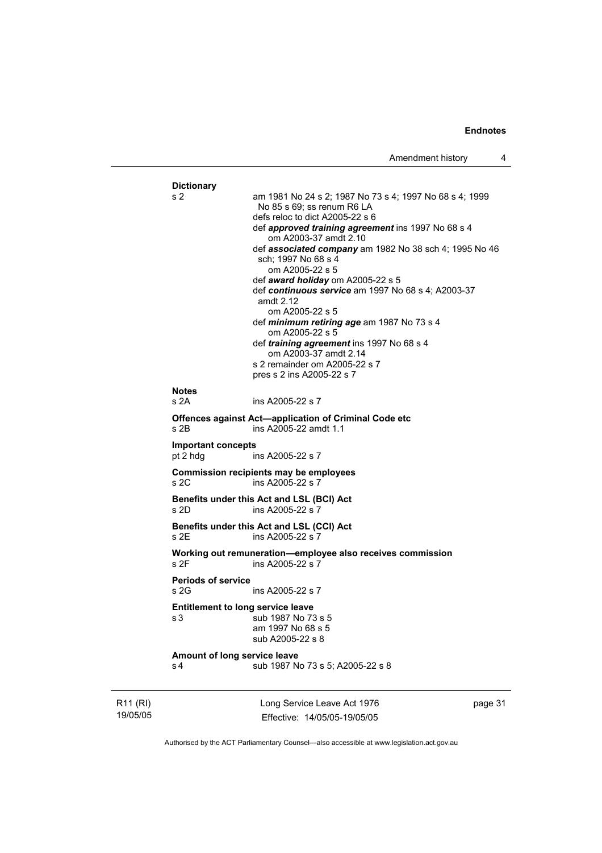```
Dictionary 
s 2 am 1981 No 24 s 2; 1987 No 73 s 4; 1997 No 68 s 4; 1999 
                  No 85 s 69; ss renum R6 LA 
                  defs reloc to dict A2005-22 s 6 
                  def approved training agreement ins 1997 No 68 s 4 
                     om A2003-37 amdt 2.10 
                  def associated company am 1982 No 38 sch 4; 1995 No 46 
                  sch; 1997 No 68 s 4 
                     om A2005-22 s 5 
                  def award holiday om A2005-22 s 5 
                  def continuous service am 1997 No 68 s 4; A2003-37 
                  amdt 2.12 
                     om A2005-22 s 5 
                  def minimum retiring age am 1987 No 73 s 4 
                     om A2005-22 s 5 
                  def training agreement ins 1997 No 68 s 4 
                     om A2003-37 amdt 2.14 
                  s 2 remainder om A2005-22 s 7 
                  pres s 2 ins A2005-22 s 7 
Notes 
s 2A ins A2005-22 s 7 
Offences against Act—application of Criminal Code etc 
s 2B ins A2005-22 amdt 1.1 
Important concepts 
pt 2 hdg ins A2005-22 s 7 
Commission recipients may be employees 
s 2C ins A2005-22 s 7 
Benefits under this Act and LSL (BCI) Act 
s 2D ins A2005-22 s<sup>7</sup>
Benefits under this Act and LSL (CCI) Act 
s 2E ins A2005-22 s 7 
Working out remuneration—employee also receives commission 
                 ins A2005-22 s 7
Periods of service 
s 2G ins A2005-22 s 7
Entitlement to long service leave 
s 3 sub 1987 No 73 s 5 
                  am 1997 No 68 s 5 
                  sub A2005-22 s 8 
Amount of long service leave 
s 4 sub 1987 No 73 s 5; A2005-22 s 8
```
R11 (RI) 19/05/05 Long Service Leave Act 1976 Effective: 14/05/05-19/05/05

page 31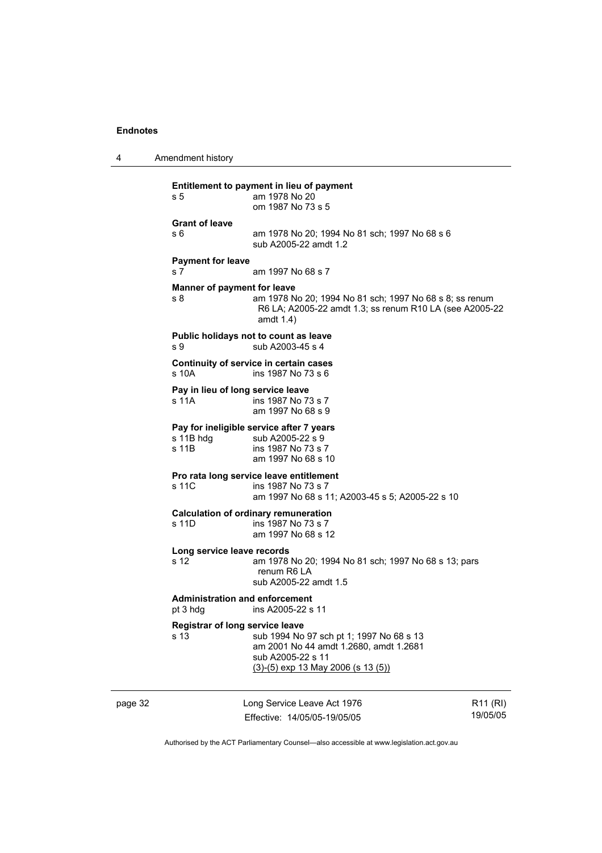4 Amendment history

| s 5                                               | Entitlement to payment in lieu of payment<br>am 1978 No 20<br>om 1987 No 73 s 5                                                                 |
|---------------------------------------------------|-------------------------------------------------------------------------------------------------------------------------------------------------|
| <b>Grant of leave</b><br>s 6                      | am 1978 No 20; 1994 No 81 sch; 1997 No 68 s 6<br>sub A2005-22 amdt 1.2                                                                          |
| <b>Payment for leave</b><br>s 7                   | am 1997 No 68 s 7                                                                                                                               |
| Manner of payment for leave<br>s 8                | am 1978 No 20; 1994 No 81 sch; 1997 No 68 s 8; ss renum<br>R6 LA; A2005-22 amdt 1.3; ss renum R10 LA (see A2005-22<br>amdt 1.4)                 |
| s 9                                               | Public holidays not to count as leave<br>sub A2003-45 s 4                                                                                       |
| s 10A                                             | Continuity of service in certain cases<br>ins 1987 No 73 s 6                                                                                    |
| Pay in lieu of long service leave<br>s 11A        | ins 1987 No 73 s 7<br>am 1997 No 68 s 9                                                                                                         |
| s 11B hdg<br>s 11B                                | Pay for ineligible service after 7 years<br>sub A2005-22 s 9<br>ins 1987 No 73 s 7<br>am 1997 No 68 s 10                                        |
| s 11C                                             | Pro rata long service leave entitlement<br>ins 1987 No 73 s 7<br>am 1997 No 68 s 11; A2003-45 s 5; A2005-22 s 10                                |
| s 11D                                             | <b>Calculation of ordinary remuneration</b><br>ins 1987 No 73 s 7<br>am 1997 No 68 s 12                                                         |
| Long service leave records<br>s 12                | am 1978 No 20; 1994 No 81 sch; 1997 No 68 s 13; pars<br>renum R6 LA<br>sub A2005-22 amdt 1.5                                                    |
| <b>Administration and enforcement</b><br>pt 3 hdg | ins A2005-22 s 11                                                                                                                               |
| Registrar of long service leave<br>s 13           | sub 1994 No 97 sch pt 1; 1997 No 68 s 13<br>am 2001 No 44 amdt 1.2680, amdt 1.2681<br>sub A2005-22 s 11<br>$(3)-(5)$ exp 13 May 2006 (s 13 (5)) |

page 32 Long Service Leave Act 1976 Effective: 14/05/05-19/05/05

R11 (RI) 19/05/05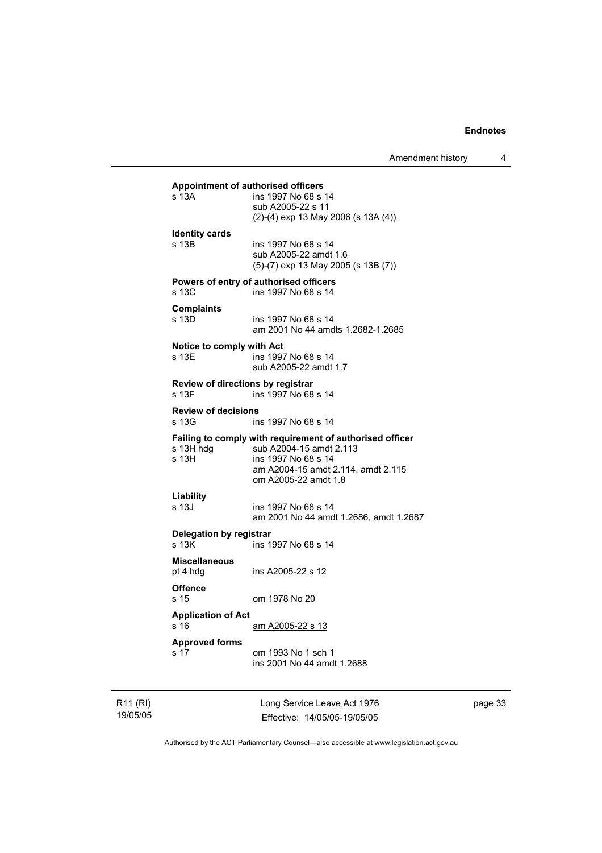|                                                    | Amendment history                                                                                                                                                        | 4 |
|----------------------------------------------------|--------------------------------------------------------------------------------------------------------------------------------------------------------------------------|---|
| <b>Appointment of authorised officers</b><br>s 13A | ins 1997 No 68 s 14<br>sub A2005-22 s 11<br><u>(2)-(4) exp 13 May 2006 (s 13A (4))</u>                                                                                   |   |
| <b>Identity cards</b><br>s 13B                     | ins 1997 No 68 s 14<br>sub A2005-22 amdt 1.6<br>$(5)-(7)$ exp 13 May 2005 (s 13B $(7)$ )                                                                                 |   |
| s 13C                                              | Powers of entry of authorised officers<br>ins 1997 No 68 s 14                                                                                                            |   |
| <b>Complaints</b><br>s 13D                         | ins 1997 No 68 s 14<br>am 2001 No 44 amdts 1.2682-1.2685                                                                                                                 |   |
| Notice to comply with Act<br>s 13E                 | ins 1997 No 68 s 14<br>sub A2005-22 amdt 1.7                                                                                                                             |   |
| Review of directions by registrar<br>s 13F         | ins 1997 No 68 s 14                                                                                                                                                      |   |
| <b>Review of decisions</b><br>s 13G                | ins 1997 No 68 s 14                                                                                                                                                      |   |
| s 13H hdg<br>s 13H                                 | Failing to comply with requirement of authorised officer<br>sub A2004-15 amdt 2.113<br>ins 1997 No 68 s 14<br>am A2004-15 amdt 2.114, amdt 2.115<br>om A2005-22 amdt 1.8 |   |
| Liability<br>s 13J                                 | ins 1997 No 68 s 14<br>am 2001 No 44 amdt 1.2686, amdt 1.2687                                                                                                            |   |
| Delegation by registrar<br>s 13K                   | ins 1997 No 68 s 14                                                                                                                                                      |   |
| <b>Miscellaneous</b><br>pt 4 hdg                   | ins A2005-22 s 12                                                                                                                                                        |   |
| <b>Offence</b><br>s 15                             | om 1978 No 20                                                                                                                                                            |   |
| <b>Application of Act</b><br>s 16                  | am A2005-22 s 13                                                                                                                                                         |   |
| <b>Approved forms</b><br>s 17                      | om 1993 No 1 sch 1<br>ins 2001 No 44 amdt 1.2688                                                                                                                         |   |
|                                                    |                                                                                                                                                                          |   |

R11 (RI) 19/05/05 Long Service Leave Act 1976 Effective: 14/05/05-19/05/05 page 33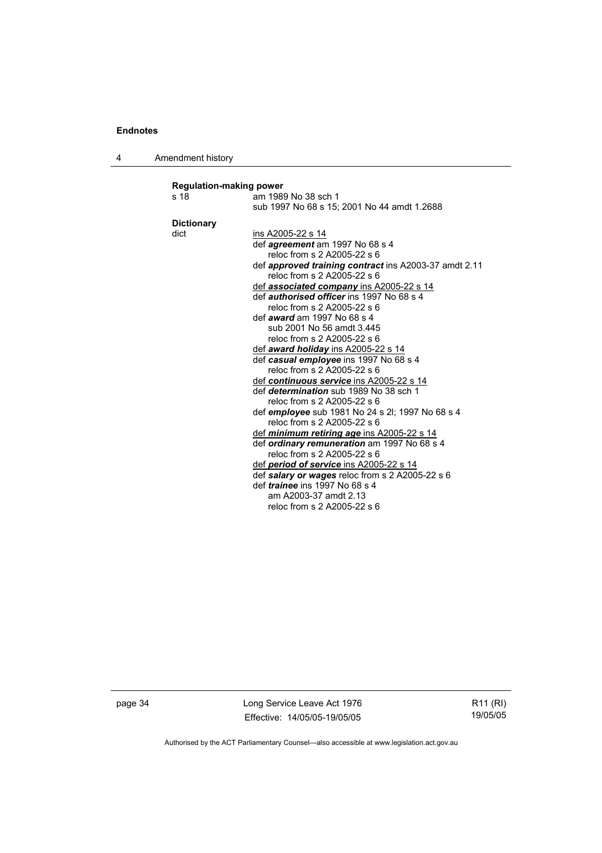4 Amendment history

| s 18<br>am 1989 No 38 sch 1<br>sub 1997 No 68 s 15; 2001 No 44 amdt 1.2688<br><b>Dictionary</b><br>dict<br>ins A2005-22 s 14<br>def <i>agreement</i> am 1997 No 68 s 4<br>reloc from s 2 A2005-22 s 6<br>reloc from s 2 A2005-22 s 6<br>def <b>associated company</b> ins A2005-22 s 14<br>def <i>authorised officer</i> ins 1997 No 68 s 4<br>reloc from s 2 A2005-22 s 6<br>def <i>award</i> am 1997 No 68 s 4<br>sub 2001 No 56 amdt 3.445<br>reloc from s 2 A2005-22 s 6<br>def <b>award holiday</b> ins A2005-22 s 14<br>def casual employee ins 1997 No 68 s 4<br>reloc from s 2 A2005-22 s 6<br>def continuous service ins A2005-22 s 14<br>def <i>determination</i> sub 1989 No 38 sch 1<br>reloc from s 2 A2005-22 s 6<br>def employee sub 1981 No 24 s 2l; 1997 No 68 s 4<br>reloc from s 2 A2005-22 s 6<br>def <i>minimum retiring age</i> ins A2005-22 s 14<br>def ordinary remuneration am 1997 No 68 s 4<br>reloc from s 2 A2005-22 s 6<br>def period of service ins A2005-22 s 14<br>def salary or wages reloc from s 2 A2005-22 s 6<br>def <i>trainee</i> ins 1997 No 68 s 4<br>am A2003-37 amdt 2.13<br>reloc from s 2 A2005-22 s 6 | <b>Regulation-making power</b> |                                                       |  |
|------------------------------------------------------------------------------------------------------------------------------------------------------------------------------------------------------------------------------------------------------------------------------------------------------------------------------------------------------------------------------------------------------------------------------------------------------------------------------------------------------------------------------------------------------------------------------------------------------------------------------------------------------------------------------------------------------------------------------------------------------------------------------------------------------------------------------------------------------------------------------------------------------------------------------------------------------------------------------------------------------------------------------------------------------------------------------------------------------------------------------------------------------|--------------------------------|-------------------------------------------------------|--|
|                                                                                                                                                                                                                                                                                                                                                                                                                                                                                                                                                                                                                                                                                                                                                                                                                                                                                                                                                                                                                                                                                                                                                      |                                |                                                       |  |
|                                                                                                                                                                                                                                                                                                                                                                                                                                                                                                                                                                                                                                                                                                                                                                                                                                                                                                                                                                                                                                                                                                                                                      |                                |                                                       |  |
|                                                                                                                                                                                                                                                                                                                                                                                                                                                                                                                                                                                                                                                                                                                                                                                                                                                                                                                                                                                                                                                                                                                                                      |                                |                                                       |  |
|                                                                                                                                                                                                                                                                                                                                                                                                                                                                                                                                                                                                                                                                                                                                                                                                                                                                                                                                                                                                                                                                                                                                                      |                                |                                                       |  |
|                                                                                                                                                                                                                                                                                                                                                                                                                                                                                                                                                                                                                                                                                                                                                                                                                                                                                                                                                                                                                                                                                                                                                      |                                |                                                       |  |
|                                                                                                                                                                                                                                                                                                                                                                                                                                                                                                                                                                                                                                                                                                                                                                                                                                                                                                                                                                                                                                                                                                                                                      |                                |                                                       |  |
|                                                                                                                                                                                                                                                                                                                                                                                                                                                                                                                                                                                                                                                                                                                                                                                                                                                                                                                                                                                                                                                                                                                                                      |                                | def approved training contract ins A2003-37 amdt 2.11 |  |
|                                                                                                                                                                                                                                                                                                                                                                                                                                                                                                                                                                                                                                                                                                                                                                                                                                                                                                                                                                                                                                                                                                                                                      |                                |                                                       |  |
|                                                                                                                                                                                                                                                                                                                                                                                                                                                                                                                                                                                                                                                                                                                                                                                                                                                                                                                                                                                                                                                                                                                                                      |                                |                                                       |  |
|                                                                                                                                                                                                                                                                                                                                                                                                                                                                                                                                                                                                                                                                                                                                                                                                                                                                                                                                                                                                                                                                                                                                                      |                                |                                                       |  |
|                                                                                                                                                                                                                                                                                                                                                                                                                                                                                                                                                                                                                                                                                                                                                                                                                                                                                                                                                                                                                                                                                                                                                      |                                |                                                       |  |
|                                                                                                                                                                                                                                                                                                                                                                                                                                                                                                                                                                                                                                                                                                                                                                                                                                                                                                                                                                                                                                                                                                                                                      |                                |                                                       |  |
|                                                                                                                                                                                                                                                                                                                                                                                                                                                                                                                                                                                                                                                                                                                                                                                                                                                                                                                                                                                                                                                                                                                                                      |                                |                                                       |  |
|                                                                                                                                                                                                                                                                                                                                                                                                                                                                                                                                                                                                                                                                                                                                                                                                                                                                                                                                                                                                                                                                                                                                                      |                                |                                                       |  |
|                                                                                                                                                                                                                                                                                                                                                                                                                                                                                                                                                                                                                                                                                                                                                                                                                                                                                                                                                                                                                                                                                                                                                      |                                |                                                       |  |
|                                                                                                                                                                                                                                                                                                                                                                                                                                                                                                                                                                                                                                                                                                                                                                                                                                                                                                                                                                                                                                                                                                                                                      |                                |                                                       |  |
|                                                                                                                                                                                                                                                                                                                                                                                                                                                                                                                                                                                                                                                                                                                                                                                                                                                                                                                                                                                                                                                                                                                                                      |                                |                                                       |  |
|                                                                                                                                                                                                                                                                                                                                                                                                                                                                                                                                                                                                                                                                                                                                                                                                                                                                                                                                                                                                                                                                                                                                                      |                                |                                                       |  |
|                                                                                                                                                                                                                                                                                                                                                                                                                                                                                                                                                                                                                                                                                                                                                                                                                                                                                                                                                                                                                                                                                                                                                      |                                |                                                       |  |
|                                                                                                                                                                                                                                                                                                                                                                                                                                                                                                                                                                                                                                                                                                                                                                                                                                                                                                                                                                                                                                                                                                                                                      |                                |                                                       |  |
|                                                                                                                                                                                                                                                                                                                                                                                                                                                                                                                                                                                                                                                                                                                                                                                                                                                                                                                                                                                                                                                                                                                                                      |                                |                                                       |  |
|                                                                                                                                                                                                                                                                                                                                                                                                                                                                                                                                                                                                                                                                                                                                                                                                                                                                                                                                                                                                                                                                                                                                                      |                                |                                                       |  |
|                                                                                                                                                                                                                                                                                                                                                                                                                                                                                                                                                                                                                                                                                                                                                                                                                                                                                                                                                                                                                                                                                                                                                      |                                |                                                       |  |
|                                                                                                                                                                                                                                                                                                                                                                                                                                                                                                                                                                                                                                                                                                                                                                                                                                                                                                                                                                                                                                                                                                                                                      |                                |                                                       |  |
|                                                                                                                                                                                                                                                                                                                                                                                                                                                                                                                                                                                                                                                                                                                                                                                                                                                                                                                                                                                                                                                                                                                                                      |                                |                                                       |  |
|                                                                                                                                                                                                                                                                                                                                                                                                                                                                                                                                                                                                                                                                                                                                                                                                                                                                                                                                                                                                                                                                                                                                                      |                                |                                                       |  |
|                                                                                                                                                                                                                                                                                                                                                                                                                                                                                                                                                                                                                                                                                                                                                                                                                                                                                                                                                                                                                                                                                                                                                      |                                |                                                       |  |
|                                                                                                                                                                                                                                                                                                                                                                                                                                                                                                                                                                                                                                                                                                                                                                                                                                                                                                                                                                                                                                                                                                                                                      |                                |                                                       |  |
|                                                                                                                                                                                                                                                                                                                                                                                                                                                                                                                                                                                                                                                                                                                                                                                                                                                                                                                                                                                                                                                                                                                                                      |                                |                                                       |  |
|                                                                                                                                                                                                                                                                                                                                                                                                                                                                                                                                                                                                                                                                                                                                                                                                                                                                                                                                                                                                                                                                                                                                                      |                                |                                                       |  |

page 34 Long Service Leave Act 1976 Effective: 14/05/05-19/05/05

R11 (RI) 19/05/05